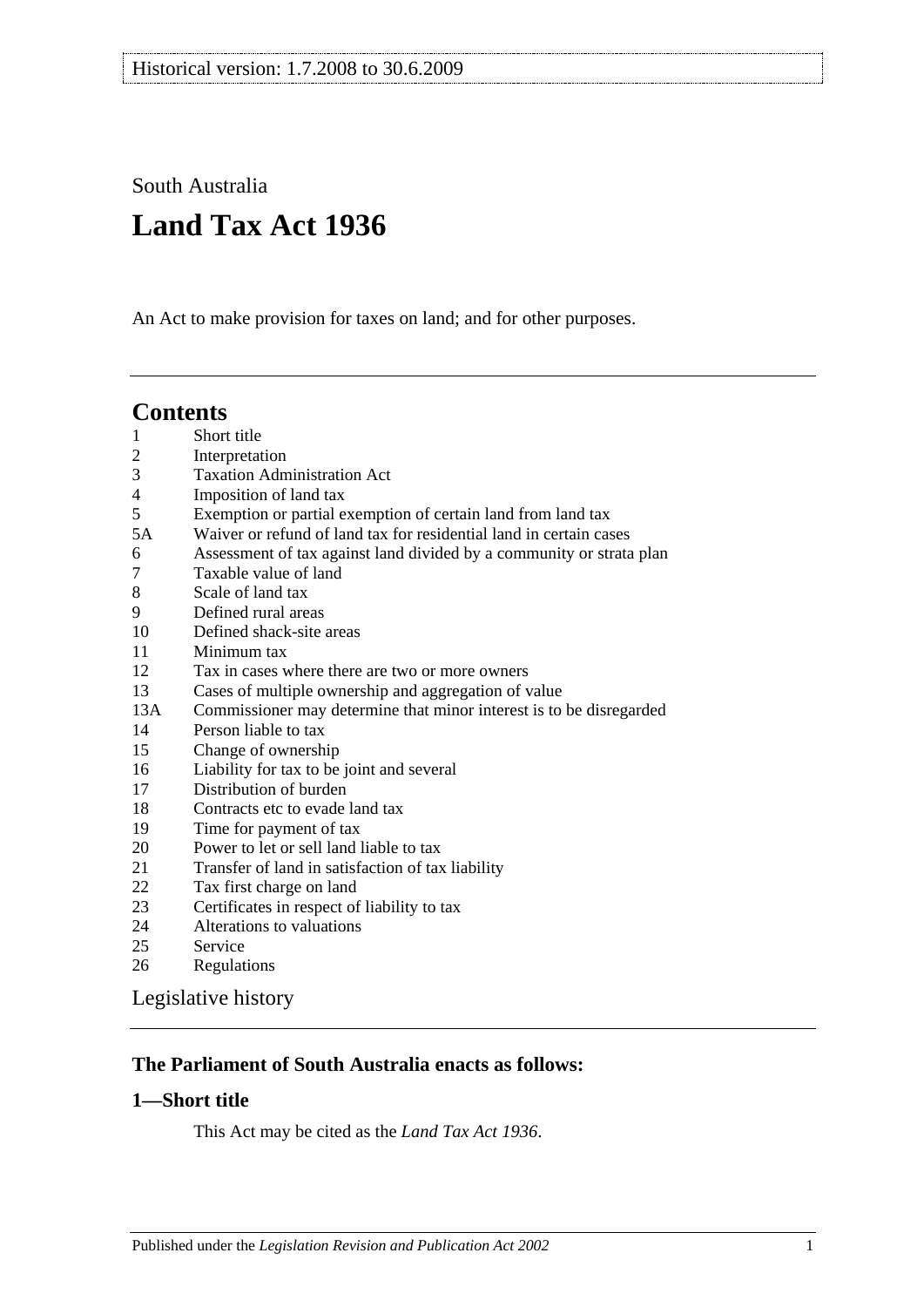South Australia

# **Land Tax Act 1936**

An Act to make provision for taxes on land; and for other purposes.

## **Contents**

| $\mathbf{1}$   | Short title                                                          |
|----------------|----------------------------------------------------------------------|
| $\overline{c}$ | Interpretation                                                       |
| 3              | <b>Taxation Administration Act</b>                                   |
| $\overline{4}$ | Imposition of land tax                                               |
| 5              | Exemption or partial exemption of certain land from land tax         |
| 5A             | Waiver or refund of land tax for residential land in certain cases   |
| 6              | Assessment of tax against land divided by a community or strata plan |
| 7              | Taxable value of land                                                |
| 8              | Scale of land tax                                                    |
| 9              | Defined rural areas                                                  |
| 10             | Defined shack-site areas                                             |
| 11             | Minimum tax                                                          |
| 12             | Tax in cases where there are two or more owners                      |
| 13             | Cases of multiple ownership and aggregation of value                 |
| 13A            | Commissioner may determine that minor interest is to be disregarded  |
| 14             | Person liable to tax                                                 |
| 15             | Change of ownership                                                  |
| 16             | Liability for tax to be joint and several                            |
| 17             | Distribution of burden                                               |
| 18             | Contracts etc to evade land tax                                      |
| 19             | Time for payment of tax                                              |
| 20             | Power to let or sell land liable to tax                              |
| 21             | Transfer of land in satisfaction of tax liability                    |
| 22             | Tax first charge on land                                             |
| 23             | Certificates in respect of liability to tax                          |
| 24             | Alterations to valuations                                            |
| 25             | Service                                                              |
| 26             | Regulations                                                          |

[Legislative history](#page-20-0)

## **The Parliament of South Australia enacts as follows:**

### <span id="page-0-0"></span>**1—Short title**

This Act may be cited as the *Land Tax Act 1936*.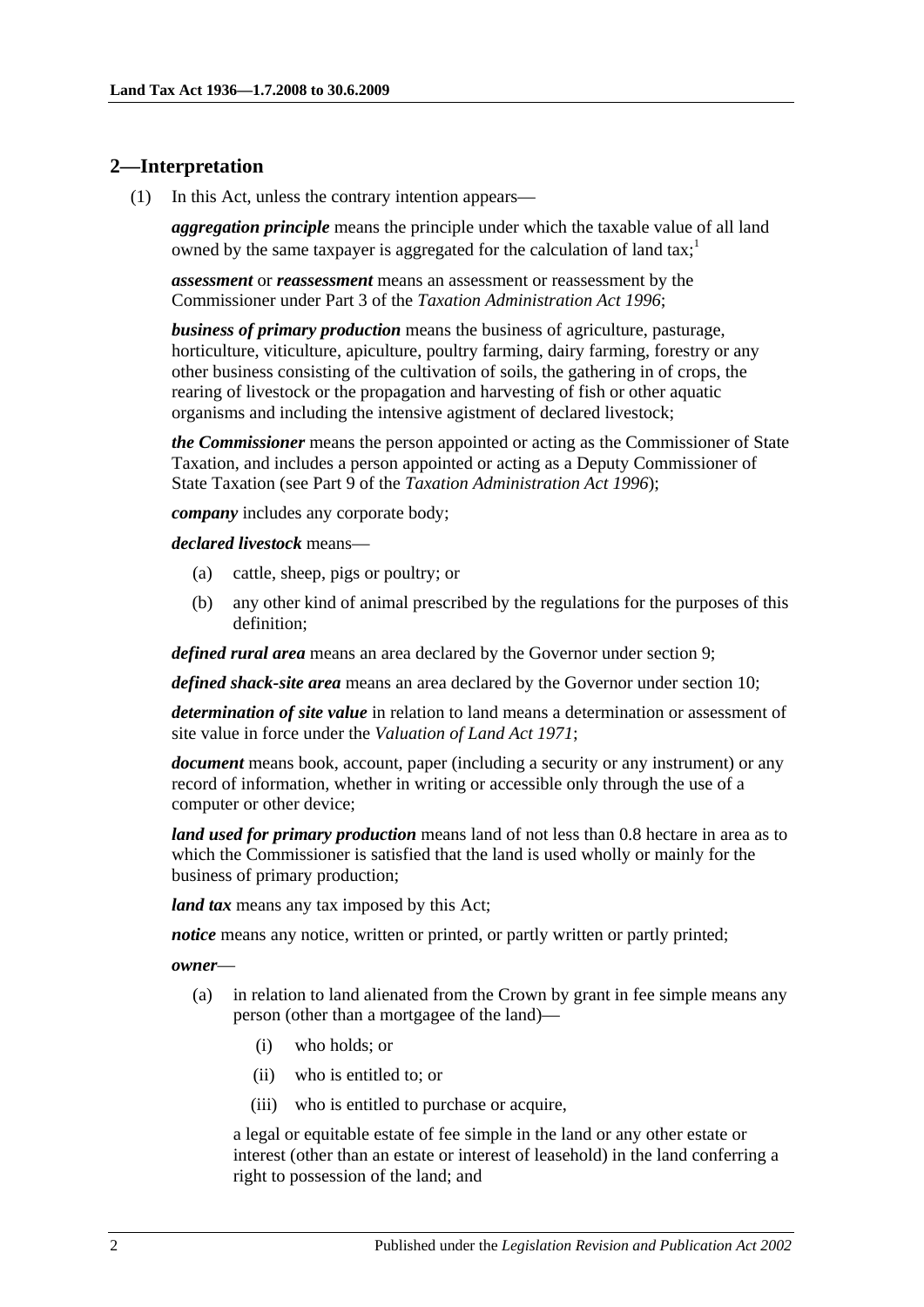#### <span id="page-1-1"></span><span id="page-1-0"></span>**2—Interpretation**

(1) In this Act, unless the contrary intention appears—

*aggregation principle* means the principle under which the taxable value of all land owned by the same taxpayer is aggregated for the calculation of land tax;<sup>1</sup>

*assessment* or *reassessment* means an assessment or reassessment by the Commissioner under Part 3 of the *[Taxation Administration Act](http://www.legislation.sa.gov.au/index.aspx?action=legref&type=act&legtitle=Taxation%20Administration%20Act%201996) 1996*;

*business of primary production* means the business of agriculture, pasturage, horticulture, viticulture, apiculture, poultry farming, dairy farming, forestry or any other business consisting of the cultivation of soils, the gathering in of crops, the rearing of livestock or the propagation and harvesting of fish or other aquatic organisms and including the intensive agistment of declared livestock;

*the Commissioner* means the person appointed or acting as the Commissioner of State Taxation, and includes a person appointed or acting as a Deputy Commissioner of State Taxation (see Part 9 of the *[Taxation Administration Act](http://www.legislation.sa.gov.au/index.aspx?action=legref&type=act&legtitle=Taxation%20Administration%20Act%201996) 1996*);

*company* includes any corporate body;

*declared livestock* means—

- (a) cattle, sheep, pigs or poultry; or
- (b) any other kind of animal prescribed by the regulations for the purposes of this definition;

*defined rural area* means an area declared by the Governor under [section](#page-14-0) 9;

*defined shack-site area* means an area declared by the Governor under [section](#page-14-1) 10;

*determination of site value* in relation to land means a determination or assessment of site value in force under the *[Valuation of Land Act](http://www.legislation.sa.gov.au/index.aspx?action=legref&type=act&legtitle=Valuation%20of%20Land%20Act%201971) 1971*;

*document* means book, account, paper (including a security or any instrument) or any record of information, whether in writing or accessible only through the use of a computer or other device;

*land used for primary production* means land of not less than 0.8 hectare in area as to which the Commissioner is satisfied that the land is used wholly or mainly for the business of primary production;

*land tax* means any tax imposed by this Act;

*notice* means any notice, written or printed, or partly written or partly printed;

*owner*—

- (a) in relation to land alienated from the Crown by grant in fee simple means any person (other than a mortgagee of the land)—
	- (i) who holds; or
	- (ii) who is entitled to; or
	- (iii) who is entitled to purchase or acquire,

a legal or equitable estate of fee simple in the land or any other estate or interest (other than an estate or interest of leasehold) in the land conferring a right to possession of the land; and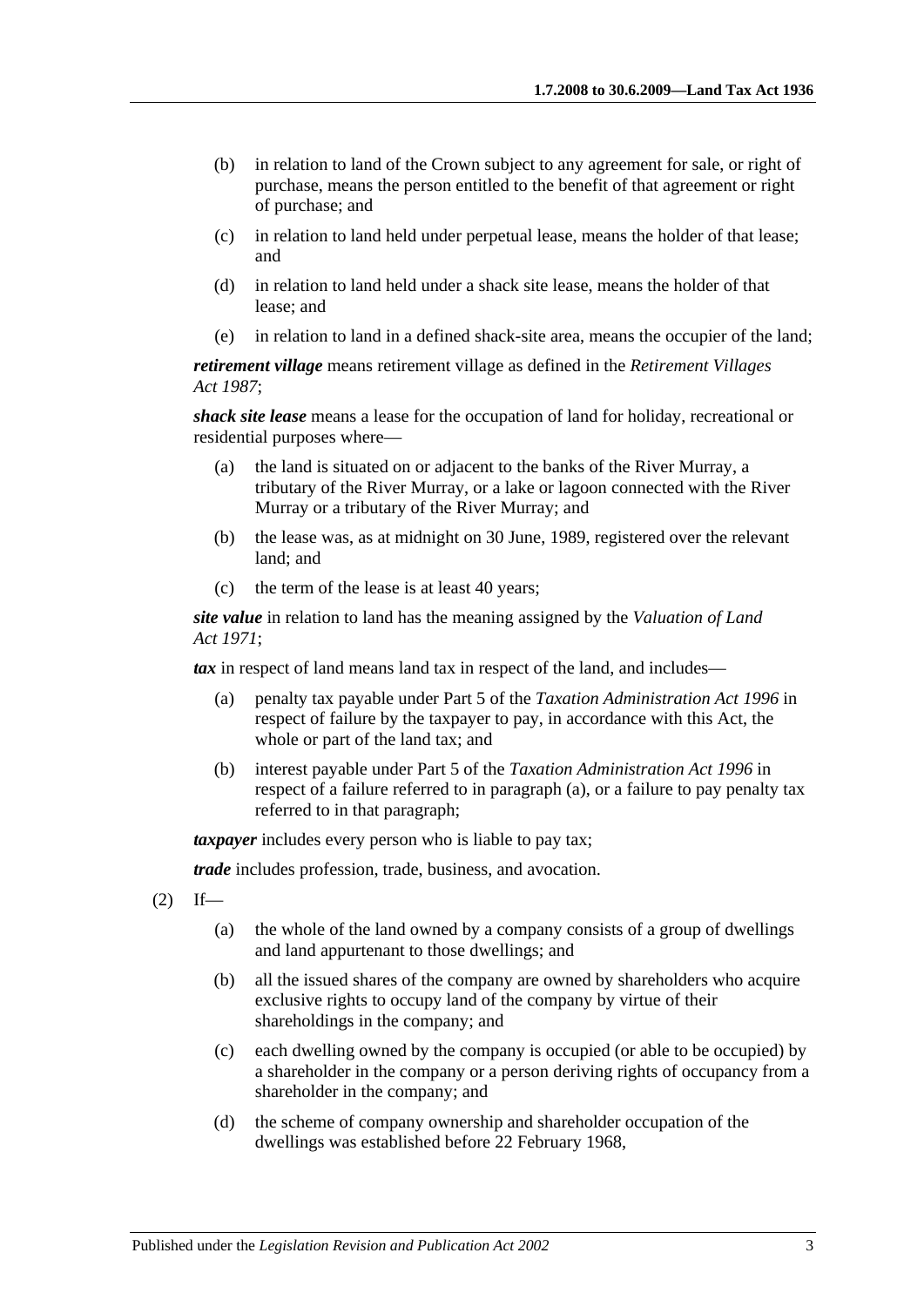- (b) in relation to land of the Crown subject to any agreement for sale, or right of purchase, means the person entitled to the benefit of that agreement or right of purchase; and
- (c) in relation to land held under perpetual lease, means the holder of that lease; and
- (d) in relation to land held under a shack site lease, means the holder of that lease; and
- (e) in relation to land in a defined shack-site area, means the occupier of the land;

*retirement village* means retirement village as defined in the *[Retirement Villages](http://www.legislation.sa.gov.au/index.aspx?action=legref&type=act&legtitle=Retirement%20Villages%20Act%201987)  Act [1987](http://www.legislation.sa.gov.au/index.aspx?action=legref&type=act&legtitle=Retirement%20Villages%20Act%201987)*;

*shack site lease* means a lease for the occupation of land for holiday, recreational or residential purposes where—

- (a) the land is situated on or adjacent to the banks of the River Murray, a tributary of the River Murray, or a lake or lagoon connected with the River Murray or a tributary of the River Murray; and
- (b) the lease was, as at midnight on 30 June, 1989, registered over the relevant land; and
- (c) the term of the lease is at least 40 years;

*site value* in relation to land has the meaning assigned by the *[Valuation of Land](http://www.legislation.sa.gov.au/index.aspx?action=legref&type=act&legtitle=Valuation%20of%20Land%20Act%201971)  Act [1971](http://www.legislation.sa.gov.au/index.aspx?action=legref&type=act&legtitle=Valuation%20of%20Land%20Act%201971)*;

*tax* in respect of land means land tax in respect of the land, and includes—

- (a) penalty tax payable under Part 5 of the *[Taxation Administration Act](http://www.legislation.sa.gov.au/index.aspx?action=legref&type=act&legtitle=Taxation%20Administration%20Act%201996) 1996* in respect of failure by the taxpayer to pay, in accordance with this Act, the whole or part of the land tax; and
- (b) interest payable under Part 5 of the *[Taxation Administration Act](http://www.legislation.sa.gov.au/index.aspx?action=legref&type=act&legtitle=Taxation%20Administration%20Act%201996) 1996* in respect of a failure referred to in paragraph (a), or a failure to pay penalty tax referred to in that paragraph;

*taxpayer* includes every person who is liable to pay tax;

*trade* includes profession, trade, business, and avocation.

- $(2)$  If—
	- (a) the whole of the land owned by a company consists of a group of dwellings and land appurtenant to those dwellings; and
	- (b) all the issued shares of the company are owned by shareholders who acquire exclusive rights to occupy land of the company by virtue of their shareholdings in the company; and
	- (c) each dwelling owned by the company is occupied (or able to be occupied) by a shareholder in the company or a person deriving rights of occupancy from a shareholder in the company; and
	- (d) the scheme of company ownership and shareholder occupation of the dwellings was established before 22 February 1968,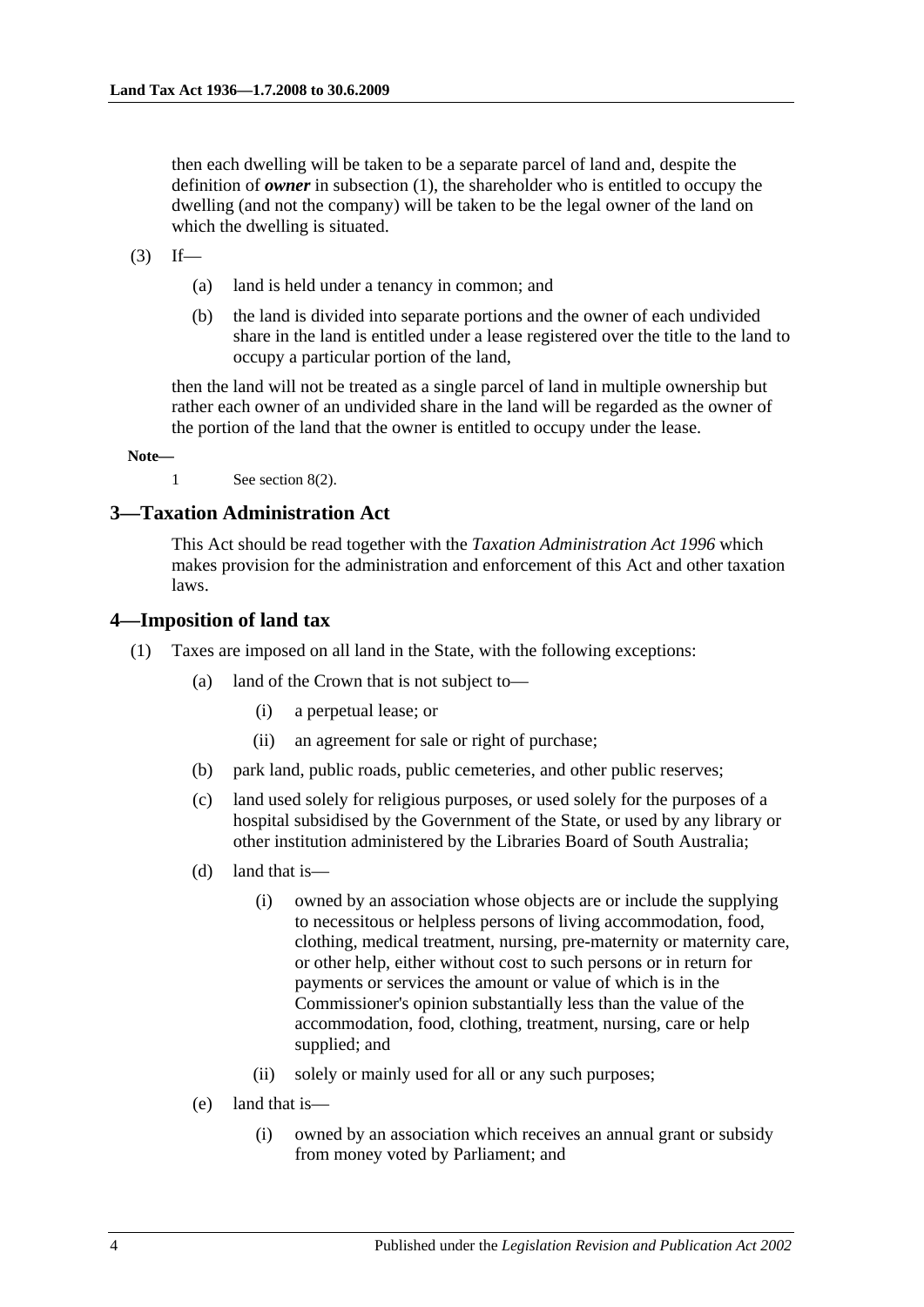then each dwelling will be taken to be a separate parcel of land and, despite the definition of *owner* in [subsection](#page-1-1) (1), the shareholder who is entitled to occupy the dwelling (and not the company) will be taken to be the legal owner of the land on which the dwelling is situated.

 $(3)$  If—

- (a) land is held under a tenancy in common; and
- (b) the land is divided into separate portions and the owner of each undivided share in the land is entitled under a lease registered over the title to the land to occupy a particular portion of the land,

then the land will not be treated as a single parcel of land in multiple ownership but rather each owner of an undivided share in the land will be regarded as the owner of the portion of the land that the owner is entitled to occupy under the lease.

**Note—**

1 See [section](#page-13-2) 8(2).

#### <span id="page-3-0"></span>**3—Taxation Administration Act**

This Act should be read together with the *[Taxation Administration Act](http://www.legislation.sa.gov.au/index.aspx?action=legref&type=act&legtitle=Taxation%20Administration%20Act%201996) 1996* which makes provision for the administration and enforcement of this Act and other taxation laws.

#### <span id="page-3-1"></span>**4—Imposition of land tax**

- <span id="page-3-2"></span>(1) Taxes are imposed on all land in the State, with the following exceptions:
	- (a) land of the Crown that is not subject to—
		- (i) a perpetual lease; or
		- (ii) an agreement for sale or right of purchase;
	- (b) park land, public roads, public cemeteries, and other public reserves;
	- (c) land used solely for religious purposes, or used solely for the purposes of a hospital subsidised by the Government of the State, or used by any library or other institution administered by the Libraries Board of South Australia;
	- (d) land that is—
		- (i) owned by an association whose objects are or include the supplying to necessitous or helpless persons of living accommodation, food, clothing, medical treatment, nursing, pre-maternity or maternity care, or other help, either without cost to such persons or in return for payments or services the amount or value of which is in the Commissioner's opinion substantially less than the value of the accommodation, food, clothing, treatment, nursing, care or help supplied; and
		- (ii) solely or mainly used for all or any such purposes;
	- (e) land that is—
		- (i) owned by an association which receives an annual grant or subsidy from money voted by Parliament; and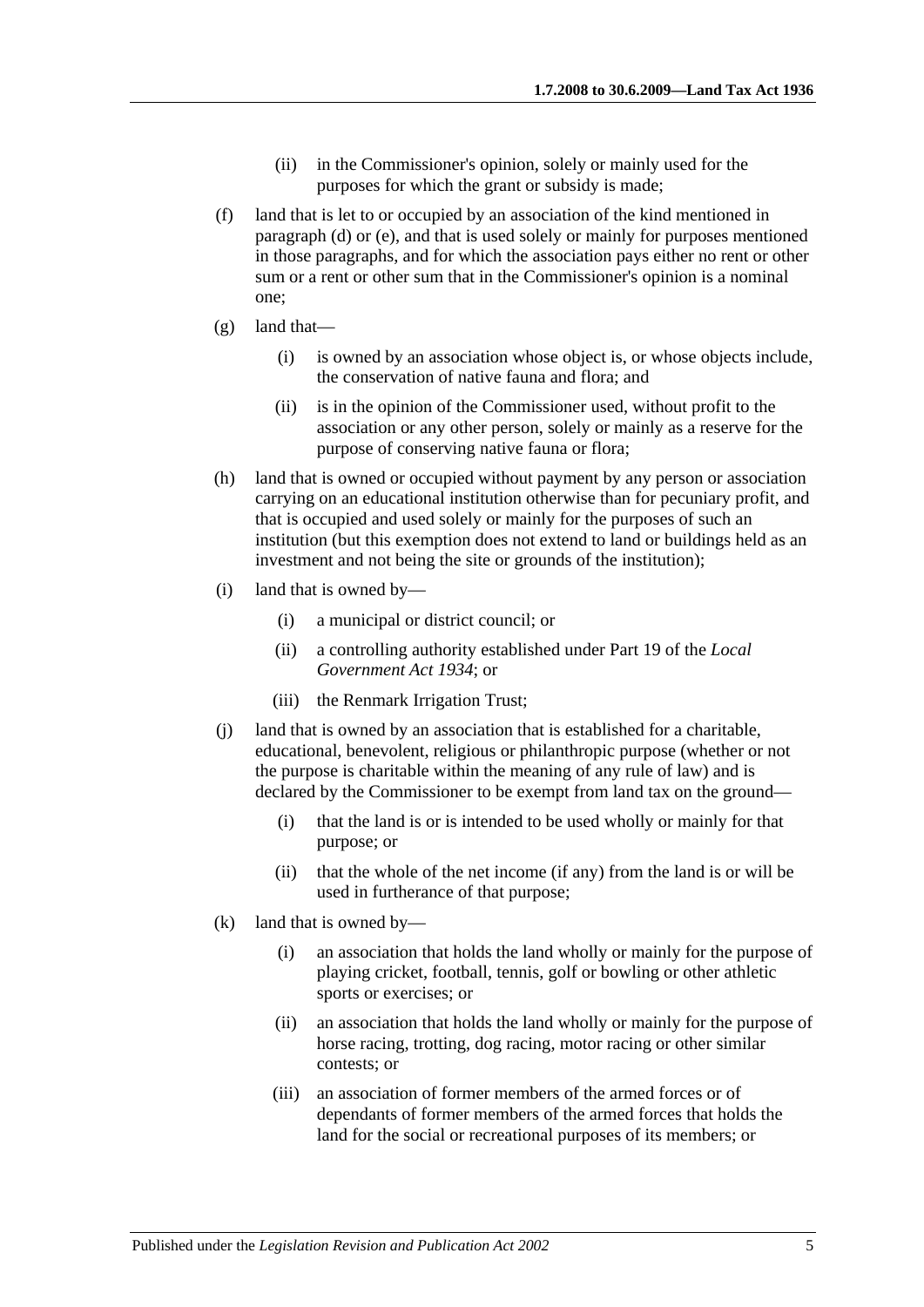- (ii) in the Commissioner's opinion, solely or mainly used for the purposes for which the grant or subsidy is made;
- (f) land that is let to or occupied by an association of the kind mentioned in [paragraph](#page-3-2) (d) or (e), and that is used solely or mainly for purposes mentioned in those paragraphs, and for which the association pays either no rent or other sum or a rent or other sum that in the Commissioner's opinion is a nominal one;
- (g) land that—
	- (i) is owned by an association whose object is, or whose objects include, the conservation of native fauna and flora; and
	- (ii) is in the opinion of the Commissioner used, without profit to the association or any other person, solely or mainly as a reserve for the purpose of conserving native fauna or flora;
- (h) land that is owned or occupied without payment by any person or association carrying on an educational institution otherwise than for pecuniary profit, and that is occupied and used solely or mainly for the purposes of such an institution (but this exemption does not extend to land or buildings held as an investment and not being the site or grounds of the institution);
- (i) land that is owned by—
	- (i) a municipal or district council; or
	- (ii) a controlling authority established under Part 19 of the *[Local](http://www.legislation.sa.gov.au/index.aspx?action=legref&type=act&legtitle=Local%20Government%20Act%201934)  [Government Act](http://www.legislation.sa.gov.au/index.aspx?action=legref&type=act&legtitle=Local%20Government%20Act%201934) 1934*; or
	- (iii) the Renmark Irrigation Trust;
- (j) land that is owned by an association that is established for a charitable, educational, benevolent, religious or philanthropic purpose (whether or not the purpose is charitable within the meaning of any rule of law) and is declared by the Commissioner to be exempt from land tax on the ground—
	- (i) that the land is or is intended to be used wholly or mainly for that purpose; or
	- (ii) that the whole of the net income (if any) from the land is or will be used in furtherance of that purpose;
- (k) land that is owned by—
	- (i) an association that holds the land wholly or mainly for the purpose of playing cricket, football, tennis, golf or bowling or other athletic sports or exercises; or
	- (ii) an association that holds the land wholly or mainly for the purpose of horse racing, trotting, dog racing, motor racing or other similar contests; or
	- (iii) an association of former members of the armed forces or of dependants of former members of the armed forces that holds the land for the social or recreational purposes of its members; or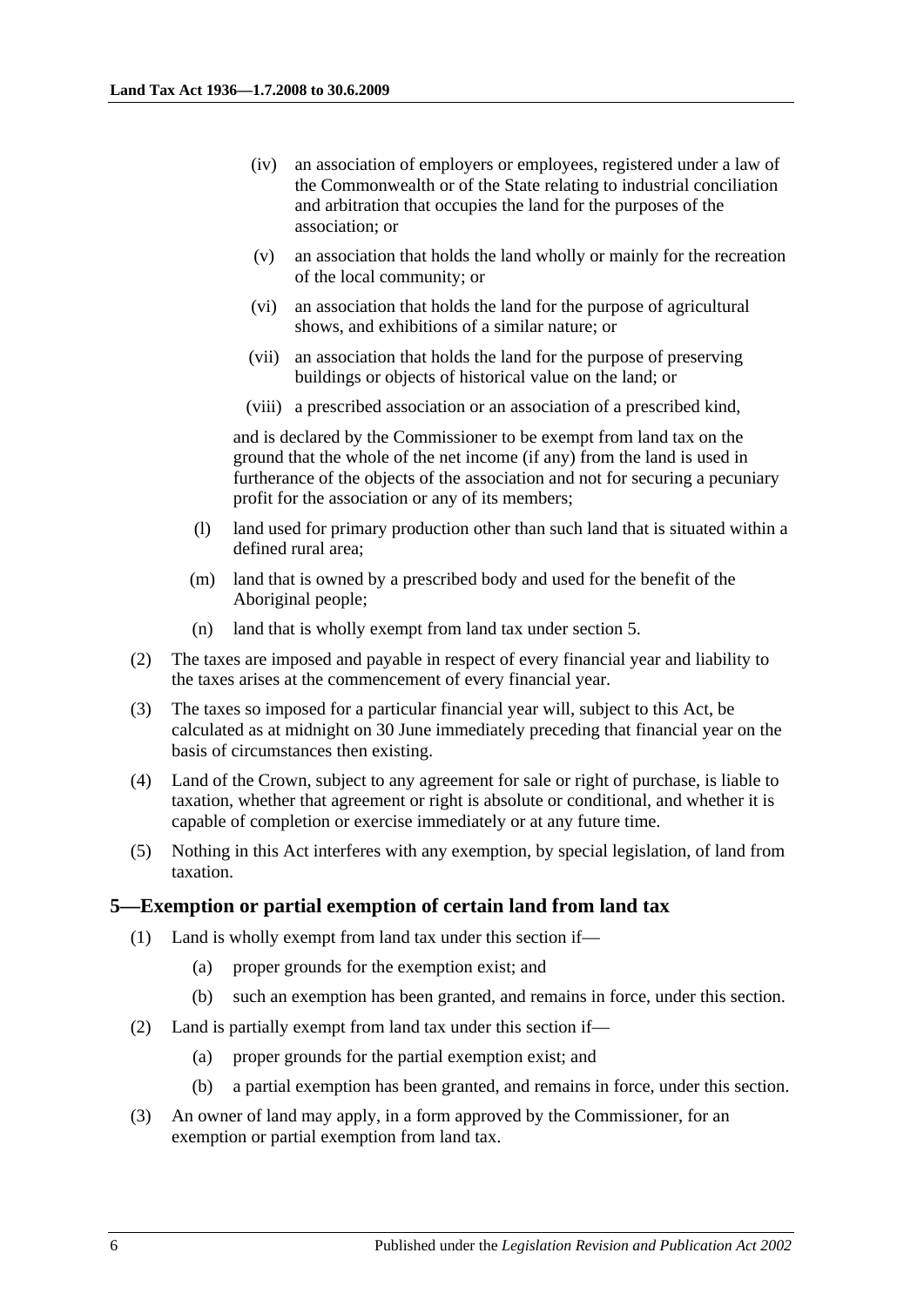- (iv) an association of employers or employees, registered under a law of the Commonwealth or of the State relating to industrial conciliation and arbitration that occupies the land for the purposes of the association; or
- (v) an association that holds the land wholly or mainly for the recreation of the local community; or
- (vi) an association that holds the land for the purpose of agricultural shows, and exhibitions of a similar nature; or
- (vii) an association that holds the land for the purpose of preserving buildings or objects of historical value on the land; or
- (viii) a prescribed association or an association of a prescribed kind,

and is declared by the Commissioner to be exempt from land tax on the ground that the whole of the net income (if any) from the land is used in furtherance of the objects of the association and not for securing a pecuniary profit for the association or any of its members;

- (l) land used for primary production other than such land that is situated within a defined rural area;
- (m) land that is owned by a prescribed body and used for the benefit of the Aboriginal people;
- (n) land that is wholly exempt from land tax under section 5.
- (2) The taxes are imposed and payable in respect of every financial year and liability to the taxes arises at the commencement of every financial year.
- (3) The taxes so imposed for a particular financial year will, subject to this Act, be calculated as at midnight on 30 June immediately preceding that financial year on the basis of circumstances then existing.
- (4) Land of the Crown, subject to any agreement for sale or right of purchase, is liable to taxation, whether that agreement or right is absolute or conditional, and whether it is capable of completion or exercise immediately or at any future time.
- (5) Nothing in this Act interferes with any exemption, by special legislation, of land from taxation.

#### <span id="page-5-0"></span>**5—Exemption or partial exemption of certain land from land tax**

- (1) Land is wholly exempt from land tax under this section if—
	- (a) proper grounds for the exemption exist; and
	- (b) such an exemption has been granted, and remains in force, under this section.
- (2) Land is partially exempt from land tax under this section if—
	- (a) proper grounds for the partial exemption exist; and
	- (b) a partial exemption has been granted, and remains in force, under this section.
- <span id="page-5-1"></span>(3) An owner of land may apply, in a form approved by the Commissioner, for an exemption or partial exemption from land tax.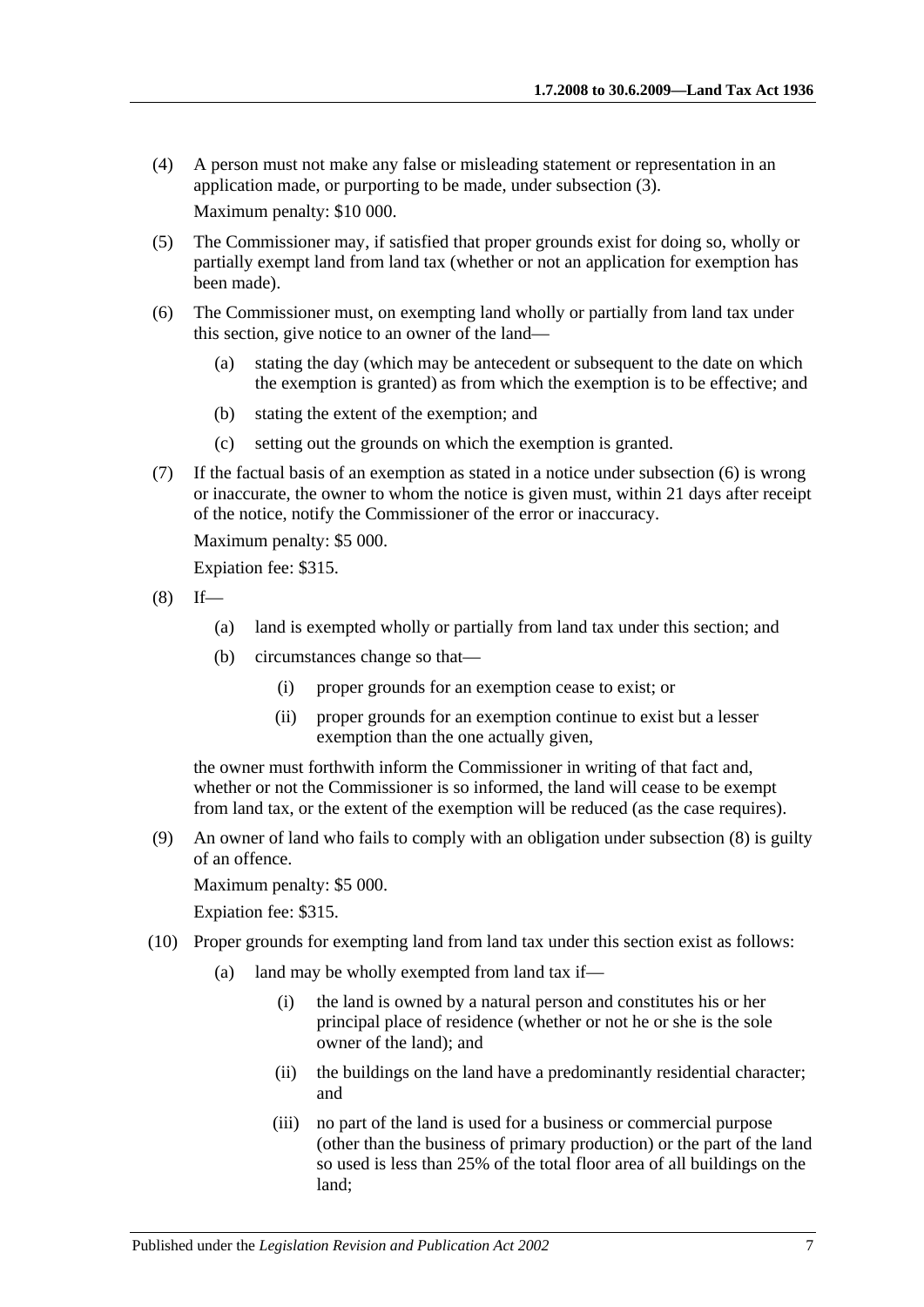- (4) A person must not make any false or misleading statement or representation in an application made, or purporting to be made, under [subsection](#page-5-1) (3). Maximum penalty: \$10 000.
- (5) The Commissioner may, if satisfied that proper grounds exist for doing so, wholly or partially exempt land from land tax (whether or not an application for exemption has been made).
- <span id="page-6-0"></span>(6) The Commissioner must, on exempting land wholly or partially from land tax under this section, give notice to an owner of the land—
	- (a) stating the day (which may be antecedent or subsequent to the date on which the exemption is granted) as from which the exemption is to be effective; and
	- (b) stating the extent of the exemption; and
	- (c) setting out the grounds on which the exemption is granted.
- (7) If the factual basis of an exemption as stated in a notice under [subsection](#page-6-0) (6) is wrong or inaccurate, the owner to whom the notice is given must, within 21 days after receipt of the notice, notify the Commissioner of the error or inaccuracy.

Maximum penalty: \$5 000.

Expiation fee: \$315.

- <span id="page-6-1"></span> $(8)$  If—
	- (a) land is exempted wholly or partially from land tax under this section; and
	- (b) circumstances change so that—
		- (i) proper grounds for an exemption cease to exist; or
		- (ii) proper grounds for an exemption continue to exist but a lesser exemption than the one actually given,

the owner must forthwith inform the Commissioner in writing of that fact and, whether or not the Commissioner is so informed, the land will cease to be exempt from land tax, or the extent of the exemption will be reduced (as the case requires).

(9) An owner of land who fails to comply with an obligation under [subsection](#page-6-1) (8) is guilty of an offence.

Maximum penalty: \$5 000.

Expiation fee: \$315.

- <span id="page-6-2"></span>(10) Proper grounds for exempting land from land tax under this section exist as follows:
	- (a) land may be wholly exempted from land tax if—
		- (i) the land is owned by a natural person and constitutes his or her principal place of residence (whether or not he or she is the sole owner of the land); and
		- (ii) the buildings on the land have a predominantly residential character; and
		- (iii) no part of the land is used for a business or commercial purpose (other than the business of primary production) or the part of the land so used is less than 25% of the total floor area of all buildings on the land;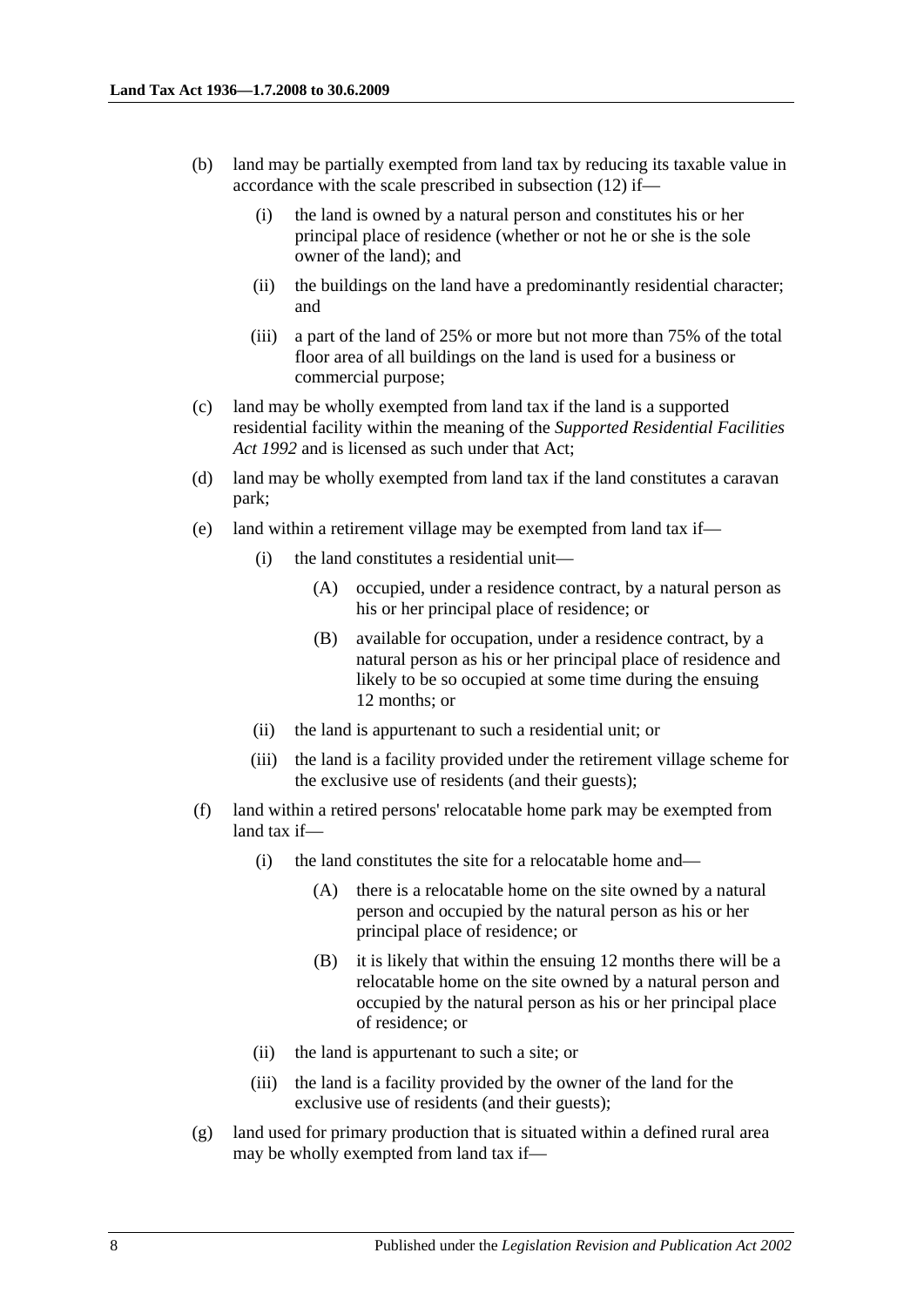- <span id="page-7-0"></span>(b) land may be partially exempted from land tax by reducing its taxable value in accordance with the scale prescribed in [subsection](#page-9-0) (12) if—
	- (i) the land is owned by a natural person and constitutes his or her principal place of residence (whether or not he or she is the sole owner of the land); and
	- (ii) the buildings on the land have a predominantly residential character; and
	- (iii) a part of the land of 25% or more but not more than 75% of the total floor area of all buildings on the land is used for a business or commercial purpose;
- (c) land may be wholly exempted from land tax if the land is a supported residential facility within the meaning of the *[Supported Residential Facilities](http://www.legislation.sa.gov.au/index.aspx?action=legref&type=act&legtitle=Supported%20Residential%20Facilities%20Act%201992)  Act [1992](http://www.legislation.sa.gov.au/index.aspx?action=legref&type=act&legtitle=Supported%20Residential%20Facilities%20Act%201992)* and is licensed as such under that Act;
- (d) land may be wholly exempted from land tax if the land constitutes a caravan park;
- (e) land within a retirement village may be exempted from land tax if—
	- (i) the land constitutes a residential unit—
		- (A) occupied, under a residence contract, by a natural person as his or her principal place of residence; or
		- (B) available for occupation, under a residence contract, by a natural person as his or her principal place of residence and likely to be so occupied at some time during the ensuing 12 months; or
	- (ii) the land is appurtenant to such a residential unit; or
	- (iii) the land is a facility provided under the retirement village scheme for the exclusive use of residents (and their guests);
- (f) land within a retired persons' relocatable home park may be exempted from land tax if—
	- (i) the land constitutes the site for a relocatable home and—
		- (A) there is a relocatable home on the site owned by a natural person and occupied by the natural person as his or her principal place of residence; or
		- (B) it is likely that within the ensuing 12 months there will be a relocatable home on the site owned by a natural person and occupied by the natural person as his or her principal place of residence; or
	- (ii) the land is appurtenant to such a site; or
	- (iii) the land is a facility provided by the owner of the land for the exclusive use of residents (and their guests);
- (g) land used for primary production that is situated within a defined rural area may be wholly exempted from land tax if—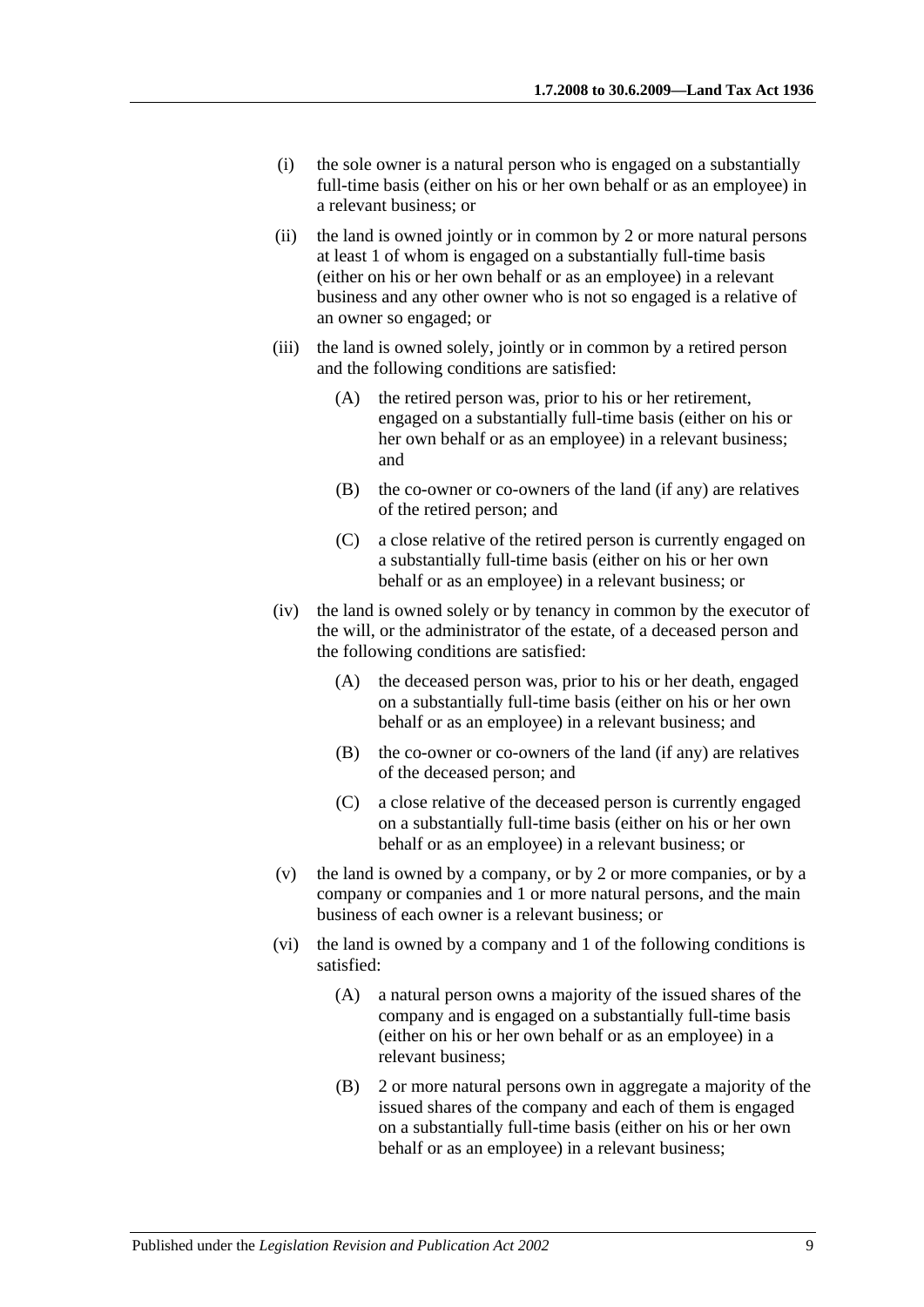- (i) the sole owner is a natural person who is engaged on a substantially full-time basis (either on his or her own behalf or as an employee) in a relevant business; or
- (ii) the land is owned jointly or in common by 2 or more natural persons at least 1 of whom is engaged on a substantially full-time basis (either on his or her own behalf or as an employee) in a relevant business and any other owner who is not so engaged is a relative of an owner so engaged; or
- (iii) the land is owned solely, jointly or in common by a retired person and the following conditions are satisfied:
	- (A) the retired person was, prior to his or her retirement, engaged on a substantially full-time basis (either on his or her own behalf or as an employee) in a relevant business; and
	- (B) the co-owner or co-owners of the land (if any) are relatives of the retired person; and
	- (C) a close relative of the retired person is currently engaged on a substantially full-time basis (either on his or her own behalf or as an employee) in a relevant business; or
- (iv) the land is owned solely or by tenancy in common by the executor of the will, or the administrator of the estate, of a deceased person and the following conditions are satisfied:
	- (A) the deceased person was, prior to his or her death, engaged on a substantially full-time basis (either on his or her own behalf or as an employee) in a relevant business; and
	- (B) the co-owner or co-owners of the land (if any) are relatives of the deceased person; and
	- (C) a close relative of the deceased person is currently engaged on a substantially full-time basis (either on his or her own behalf or as an employee) in a relevant business; or
- (v) the land is owned by a company, or by 2 or more companies, or by a company or companies and 1 or more natural persons, and the main business of each owner is a relevant business; or
- (vi) the land is owned by a company and 1 of the following conditions is satisfied:
	- (A) a natural person owns a majority of the issued shares of the company and is engaged on a substantially full-time basis (either on his or her own behalf or as an employee) in a relevant business;
	- (B) 2 or more natural persons own in aggregate a majority of the issued shares of the company and each of them is engaged on a substantially full-time basis (either on his or her own behalf or as an employee) in a relevant business;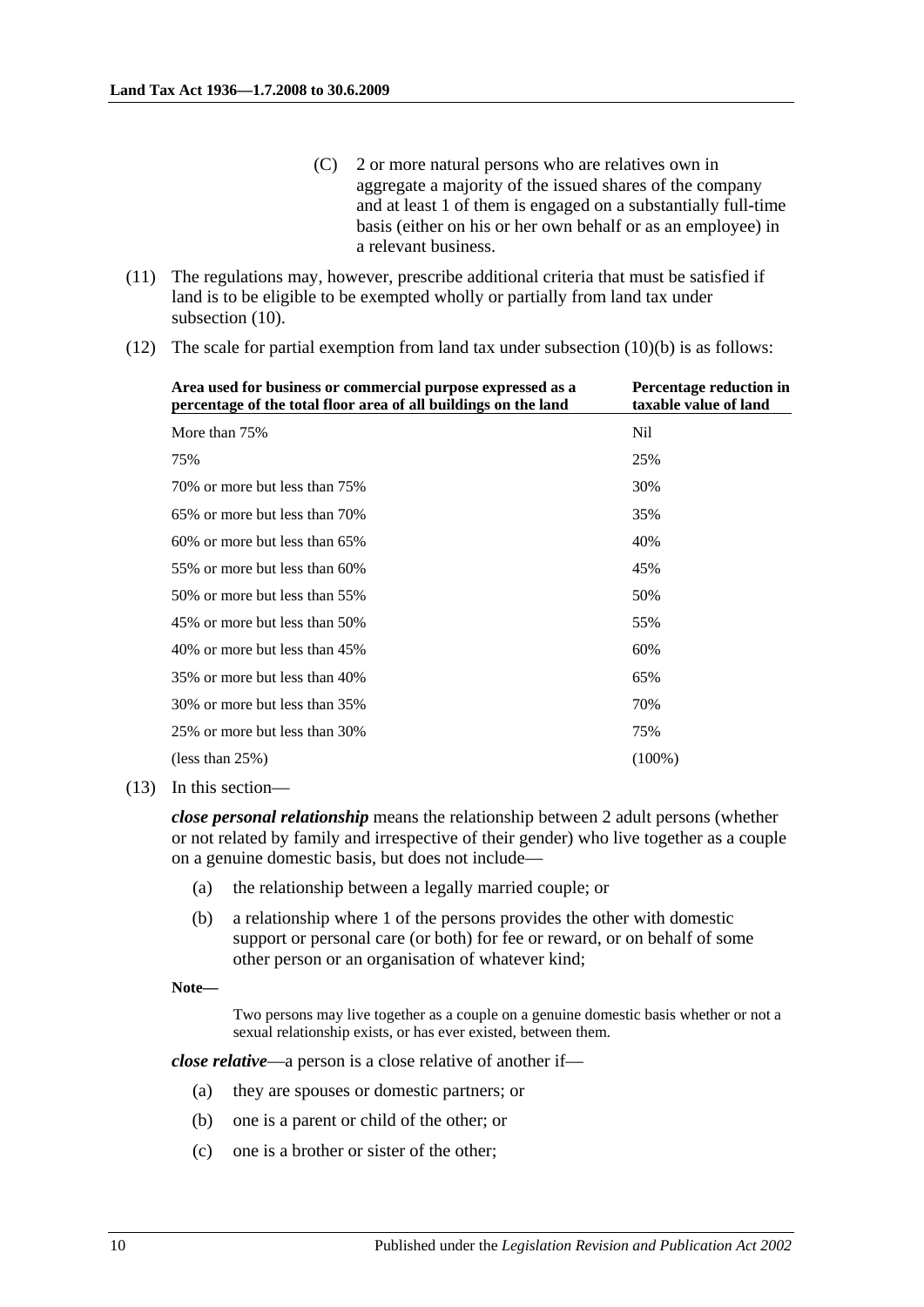- (C) 2 or more natural persons who are relatives own in aggregate a majority of the issued shares of the company and at least 1 of them is engaged on a substantially full-time basis (either on his or her own behalf or as an employee) in a relevant business.
- (11) The regulations may, however, prescribe additional criteria that must be satisfied if land is to be eligible to be exempted wholly or partially from land tax under [subsection](#page-6-2)  $(10)$ .
- <span id="page-9-0"></span>(12) The scale for partial exemption from land tax under [subsection](#page-7-0) (10)(b) is as follows:

| Area used for business or commercial purpose expressed as a<br>percentage of the total floor area of all buildings on the land | Percentage reduction in<br>taxable value of land |
|--------------------------------------------------------------------------------------------------------------------------------|--------------------------------------------------|
| More than 75%                                                                                                                  | Nil                                              |
| 75%                                                                                                                            | 25%                                              |
| 70\% or more but less than 75\%                                                                                                | 30%                                              |
| 65% or more but less than 70%                                                                                                  | 35%                                              |
| 60% or more but less than 65%                                                                                                  | 40%                                              |
| 55% or more but less than 60%                                                                                                  | 45%                                              |
| 50% or more but less than 55%                                                                                                  | 50%                                              |
| 45% or more but less than 50%                                                                                                  | 55%                                              |
| 40% or more but less than 45%                                                                                                  | 60%                                              |
| 35% or more but less than 40%                                                                                                  | 65%                                              |
| 30% or more but less than 35%                                                                                                  | 70%                                              |
| 25% or more but less than 30%                                                                                                  | 75%                                              |
| (less than $25\%$ )                                                                                                            | $(100\%)$                                        |

(13) In this section—

*close personal relationship* means the relationship between 2 adult persons (whether or not related by family and irrespective of their gender) who live together as a couple on a genuine domestic basis, but does not include—

- (a) the relationship between a legally married couple; or
- (b) a relationship where 1 of the persons provides the other with domestic support or personal care (or both) for fee or reward, or on behalf of some other person or an organisation of whatever kind;

**Note—**

Two persons may live together as a couple on a genuine domestic basis whether or not a sexual relationship exists, or has ever existed, between them.

*close relative*—a person is a close relative of another if—

- (a) they are spouses or domestic partners; or
- (b) one is a parent or child of the other; or
- (c) one is a brother or sister of the other;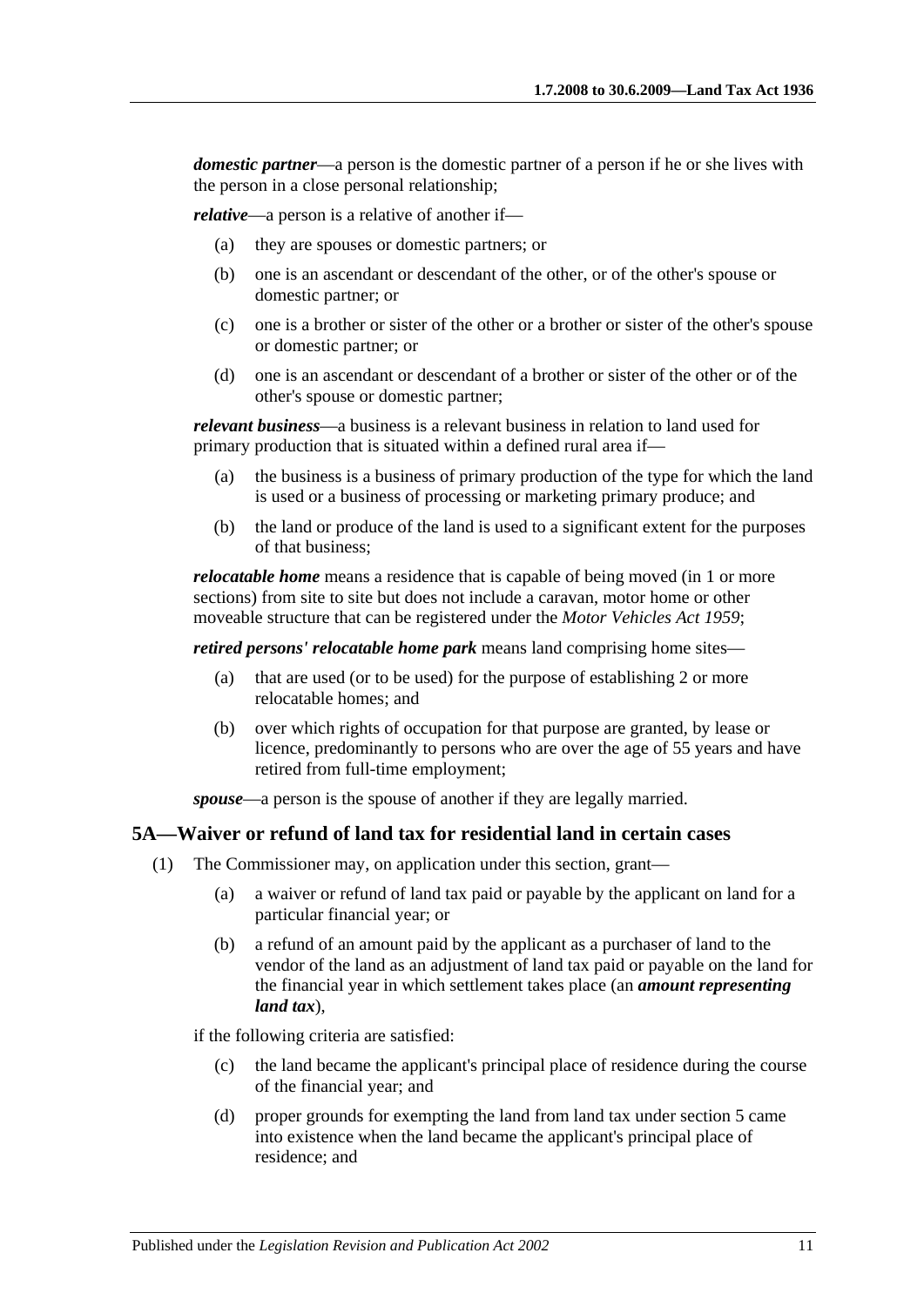*domestic partner*—a person is the domestic partner of a person if he or she lives with the person in a close personal relationship;

*relative*—a person is a relative of another if—

- (a) they are spouses or domestic partners; or
- (b) one is an ascendant or descendant of the other, or of the other's spouse or domestic partner; or
- (c) one is a brother or sister of the other or a brother or sister of the other's spouse or domestic partner; or
- (d) one is an ascendant or descendant of a brother or sister of the other or of the other's spouse or domestic partner;

*relevant business*—a business is a relevant business in relation to land used for primary production that is situated within a defined rural area if—

- (a) the business is a business of primary production of the type for which the land is used or a business of processing or marketing primary produce; and
- (b) the land or produce of the land is used to a significant extent for the purposes of that business;

*relocatable home* means a residence that is capable of being moved (in 1 or more sections) from site to site but does not include a caravan, motor home or other moveable structure that can be registered under the *[Motor Vehicles Act](http://www.legislation.sa.gov.au/index.aspx?action=legref&type=act&legtitle=Motor%20Vehicles%20Act%201959) 1959*;

*retired persons' relocatable home park* means land comprising home sites—

- (a) that are used (or to be used) for the purpose of establishing 2 or more relocatable homes; and
- (b) over which rights of occupation for that purpose are granted, by lease or licence, predominantly to persons who are over the age of 55 years and have retired from full-time employment;

*spouse*—a person is the spouse of another if they are legally married.

#### <span id="page-10-1"></span><span id="page-10-0"></span>**5A—Waiver or refund of land tax for residential land in certain cases**

- (1) The Commissioner may, on application under this section, grant—
	- (a) a waiver or refund of land tax paid or payable by the applicant on land for a particular financial year; or
	- (b) a refund of an amount paid by the applicant as a purchaser of land to the vendor of the land as an adjustment of land tax paid or payable on the land for the financial year in which settlement takes place (an *amount representing land tax*),

if the following criteria are satisfied:

- (c) the land became the applicant's principal place of residence during the course of the financial year; and
- (d) proper grounds for exempting the land from land tax under section 5 came into existence when the land became the applicant's principal place of residence; and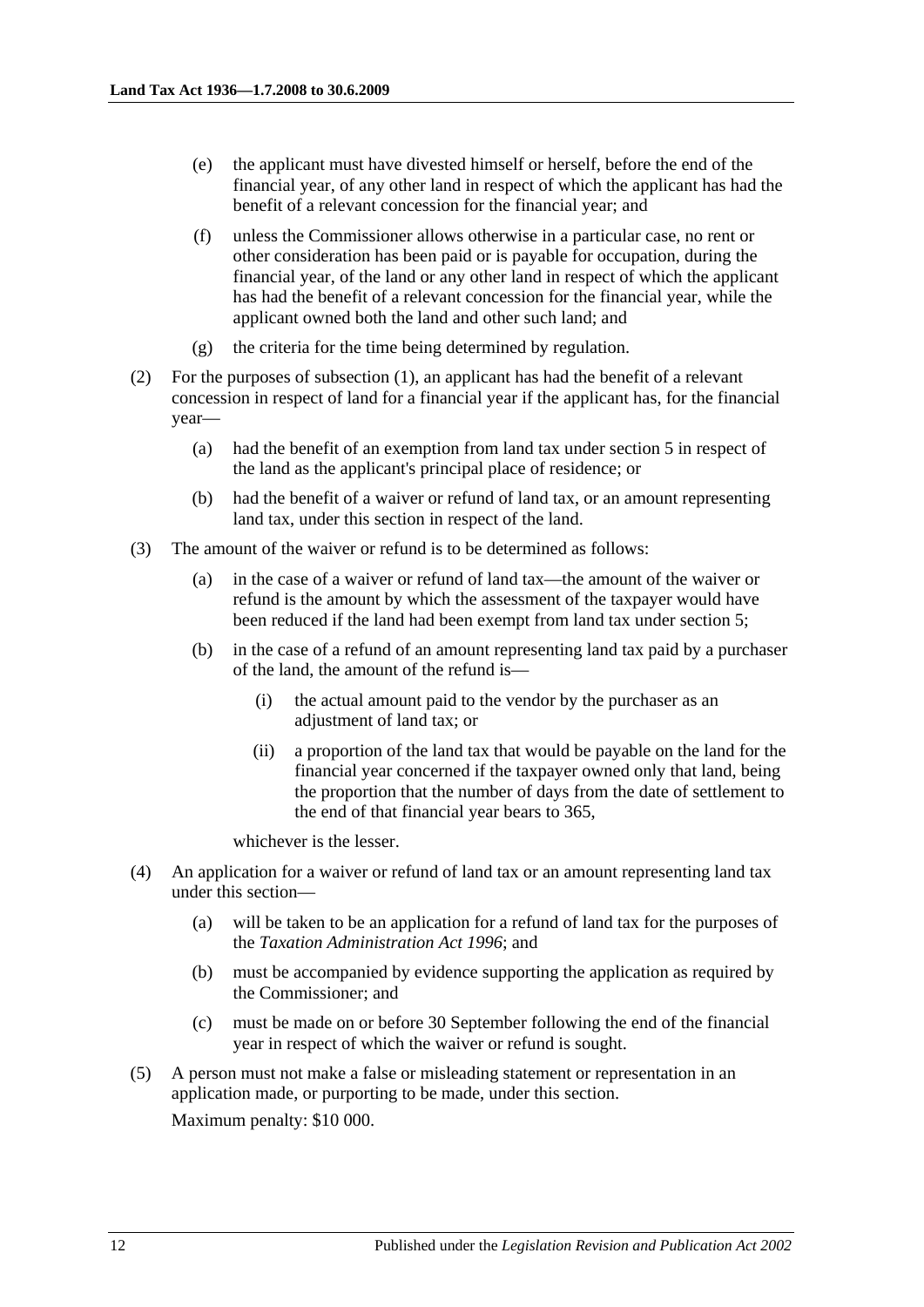- (e) the applicant must have divested himself or herself, before the end of the financial year, of any other land in respect of which the applicant has had the benefit of a relevant concession for the financial year; and
- (f) unless the Commissioner allows otherwise in a particular case, no rent or other consideration has been paid or is payable for occupation, during the financial year, of the land or any other land in respect of which the applicant has had the benefit of a relevant concession for the financial year, while the applicant owned both the land and other such land; and
- (g) the criteria for the time being determined by regulation.
- (2) For the purposes of [subsection](#page-10-1) (1), an applicant has had the benefit of a relevant concession in respect of land for a financial year if the applicant has, for the financial year—
	- (a) had the benefit of an exemption from land tax under section 5 in respect of the land as the applicant's principal place of residence; or
	- (b) had the benefit of a waiver or refund of land tax, or an amount representing land tax, under this section in respect of the land.
- (3) The amount of the waiver or refund is to be determined as follows:
	- (a) in the case of a waiver or refund of land tax—the amount of the waiver or refund is the amount by which the assessment of the taxpayer would have been reduced if the land had been exempt from land tax under section 5;
	- (b) in the case of a refund of an amount representing land tax paid by a purchaser of the land, the amount of the refund is—
		- (i) the actual amount paid to the vendor by the purchaser as an adjustment of land tax; or
		- (ii) a proportion of the land tax that would be payable on the land for the financial year concerned if the taxpayer owned only that land, being the proportion that the number of days from the date of settlement to the end of that financial year bears to 365,

whichever is the lesser.

- (4) An application for a waiver or refund of land tax or an amount representing land tax under this section—
	- (a) will be taken to be an application for a refund of land tax for the purposes of the *[Taxation Administration Act](http://www.legislation.sa.gov.au/index.aspx?action=legref&type=act&legtitle=Taxation%20Administration%20Act%201996) 1996*; and
	- (b) must be accompanied by evidence supporting the application as required by the Commissioner; and
	- (c) must be made on or before 30 September following the end of the financial year in respect of which the waiver or refund is sought.
- (5) A person must not make a false or misleading statement or representation in an application made, or purporting to be made, under this section. Maximum penalty: \$10 000.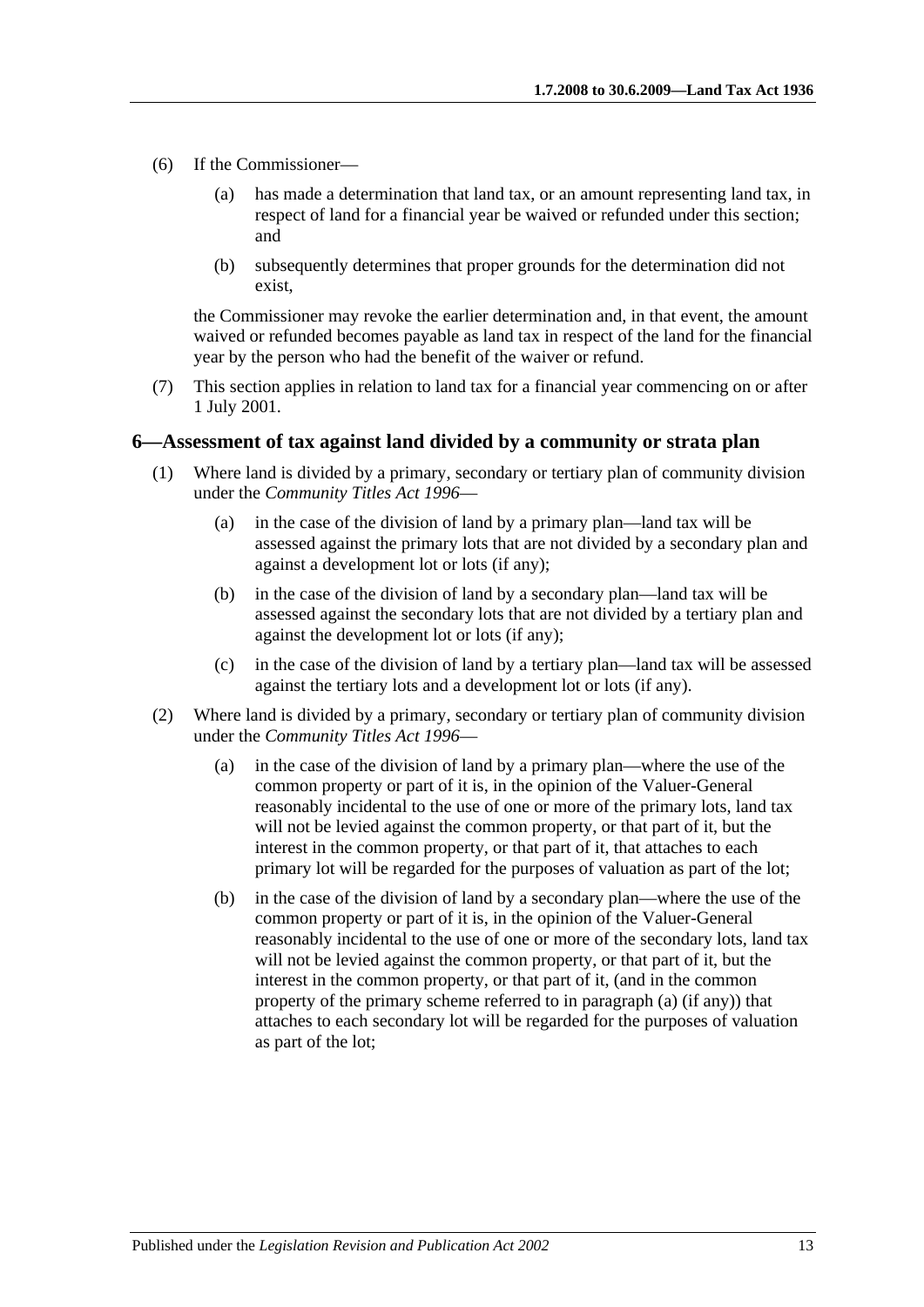- (6) If the Commissioner—
	- (a) has made a determination that land tax, or an amount representing land tax, in respect of land for a financial year be waived or refunded under this section; and
	- (b) subsequently determines that proper grounds for the determination did not exist,

the Commissioner may revoke the earlier determination and, in that event, the amount waived or refunded becomes payable as land tax in respect of the land for the financial year by the person who had the benefit of the waiver or refund.

(7) This section applies in relation to land tax for a financial year commencing on or after 1 July 2001.

#### <span id="page-12-0"></span>**6—Assessment of tax against land divided by a community or strata plan**

- (1) Where land is divided by a primary, secondary or tertiary plan of community division under the *[Community Titles Act](http://www.legislation.sa.gov.au/index.aspx?action=legref&type=act&legtitle=Community%20Titles%20Act%201996) 1996*—
	- (a) in the case of the division of land by a primary plan—land tax will be assessed against the primary lots that are not divided by a secondary plan and against a development lot or lots (if any);
	- (b) in the case of the division of land by a secondary plan—land tax will be assessed against the secondary lots that are not divided by a tertiary plan and against the development lot or lots (if any);
	- (c) in the case of the division of land by a tertiary plan—land tax will be assessed against the tertiary lots and a development lot or lots (if any).
- <span id="page-12-2"></span><span id="page-12-1"></span>(2) Where land is divided by a primary, secondary or tertiary plan of community division under the *[Community Titles Act](http://www.legislation.sa.gov.au/index.aspx?action=legref&type=act&legtitle=Community%20Titles%20Act%201996) 1996*—
	- (a) in the case of the division of land by a primary plan—where the use of the common property or part of it is, in the opinion of the Valuer-General reasonably incidental to the use of one or more of the primary lots, land tax will not be levied against the common property, or that part of it, but the interest in the common property, or that part of it, that attaches to each primary lot will be regarded for the purposes of valuation as part of the lot;
	- (b) in the case of the division of land by a secondary plan—where the use of the common property or part of it is, in the opinion of the Valuer-General reasonably incidental to the use of one or more of the secondary lots, land tax will not be levied against the common property, or that part of it, but the interest in the common property, or that part of it, (and in the common property of the primary scheme referred to in [paragraph](#page-12-1) (a) (if any)) that attaches to each secondary lot will be regarded for the purposes of valuation as part of the lot;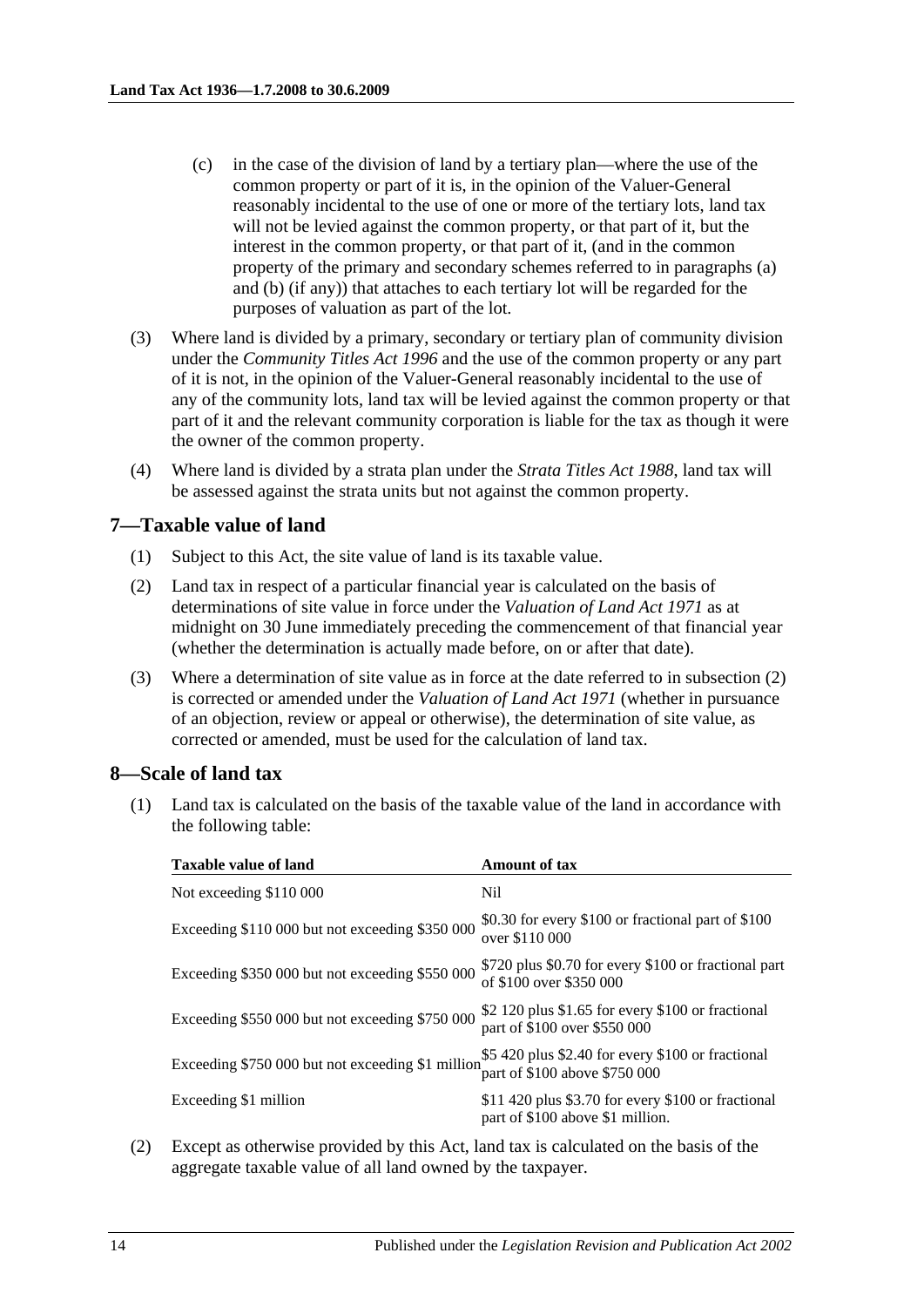- (c) in the case of the division of land by a tertiary plan—where the use of the common property or part of it is, in the opinion of the Valuer-General reasonably incidental to the use of one or more of the tertiary lots, land tax will not be levied against the common property, or that part of it, but the interest in the common property, or that part of it, (and in the common property of the primary and secondary schemes referred to in [paragraphs](#page-12-1) (a) and [\(b\)](#page-12-2) (if any)) that attaches to each tertiary lot will be regarded for the purposes of valuation as part of the lot.
- (3) Where land is divided by a primary, secondary or tertiary plan of community division under the *[Community Titles Act](http://www.legislation.sa.gov.au/index.aspx?action=legref&type=act&legtitle=Community%20Titles%20Act%201996) 1996* and the use of the common property or any part of it is not, in the opinion of the Valuer-General reasonably incidental to the use of any of the community lots, land tax will be levied against the common property or that part of it and the relevant community corporation is liable for the tax as though it were the owner of the common property.
- (4) Where land is divided by a strata plan under the *[Strata Titles Act](http://www.legislation.sa.gov.au/index.aspx?action=legref&type=act&legtitle=Strata%20Titles%20Act%201988) 1988*, land tax will be assessed against the strata units but not against the common property.

#### <span id="page-13-0"></span>**7—Taxable value of land**

- (1) Subject to this Act, the site value of land is its taxable value.
- <span id="page-13-3"></span>(2) Land tax in respect of a particular financial year is calculated on the basis of determinations of site value in force under the *[Valuation of Land Act](http://www.legislation.sa.gov.au/index.aspx?action=legref&type=act&legtitle=Valuation%20of%20Land%20Act%201971) 1971* as at midnight on 30 June immediately preceding the commencement of that financial year (whether the determination is actually made before, on or after that date).
- (3) Where a determination of site value as in force at the date referred to in [subsection](#page-13-3) (2) is corrected or amended under the *[Valuation of Land Act](http://www.legislation.sa.gov.au/index.aspx?action=legref&type=act&legtitle=Valuation%20of%20Land%20Act%201971) 1971* (whether in pursuance of an objection, review or appeal or otherwise), the determination of site value, as corrected or amended, must be used for the calculation of land tax.

#### <span id="page-13-1"></span>**8—Scale of land tax**

(1) Land tax is calculated on the basis of the taxable value of the land in accordance with the following table:

| <b>Taxable value of land</b>                                                                        | <b>Amount of tax</b>                                                                   |
|-----------------------------------------------------------------------------------------------------|----------------------------------------------------------------------------------------|
| Not exceeding \$110 000                                                                             | Nil                                                                                    |
| Exceeding \$110 000 but not exceeding \$350 000                                                     | \$0.30 for every \$100 or fractional part of \$100<br>over \$110 000                   |
| Exceeding \$350 000 but not exceeding \$550 000                                                     | \$720 plus \$0.70 for every \$100 or fractional part<br>of \$100 over \$350 000        |
| Exceeding \$550 000 but not exceeding \$750 000                                                     | \$2 120 plus \$1.65 for every \$100 or fractional<br>part of \$100 over \$550 000      |
| Exceeding \$750 000 but not exceeding \$1 million \$5 420 plus \$2.40 for every \$100 or fractional | part of $$100$ above $$750000$                                                         |
| Exceeding \$1 million                                                                               | \$11 420 plus \$3.70 for every \$100 or fractional<br>part of \$100 above \$1 million. |
|                                                                                                     |                                                                                        |

<span id="page-13-2"></span>(2) Except as otherwise provided by this Act, land tax is calculated on the basis of the aggregate taxable value of all land owned by the taxpayer.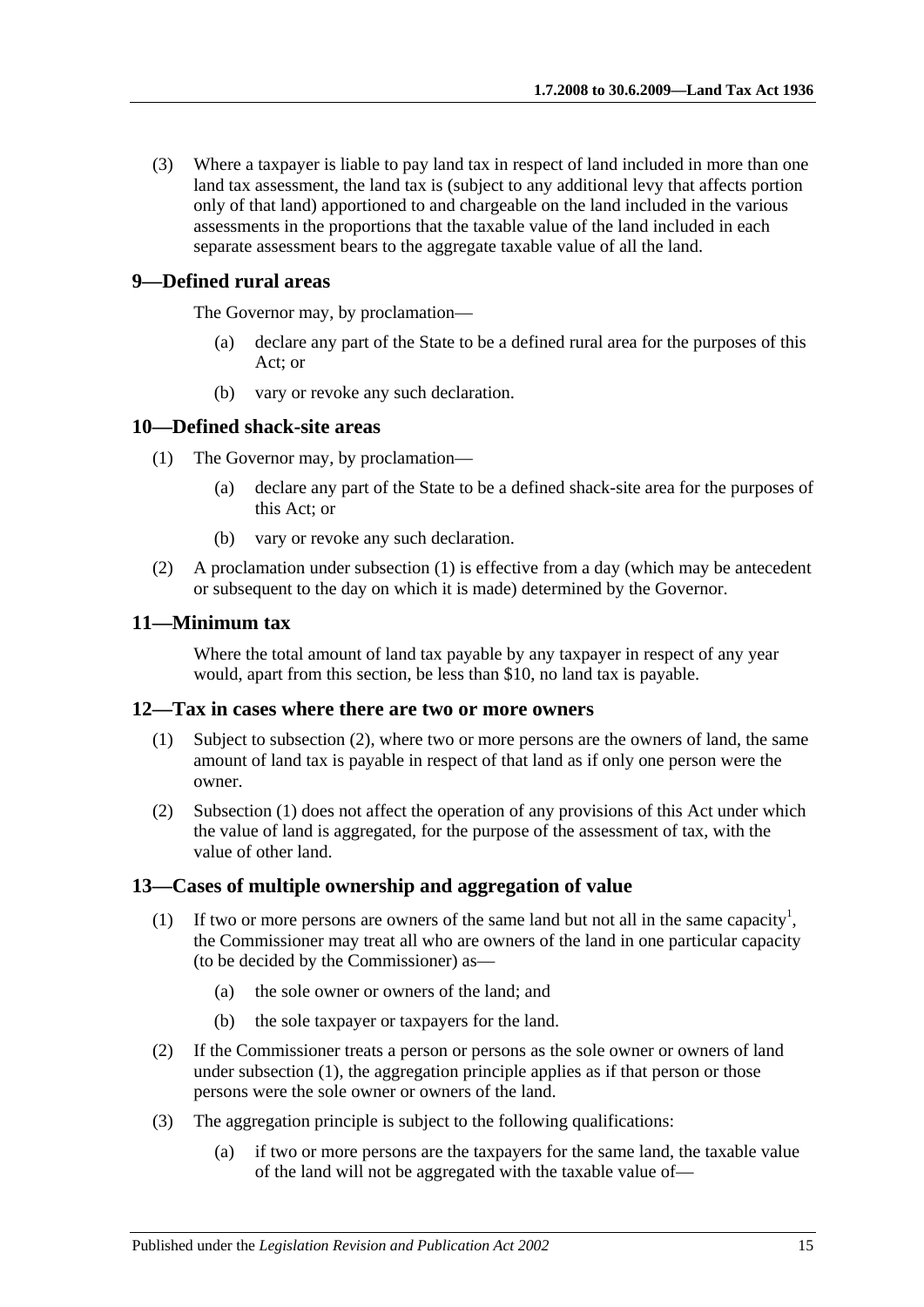(3) Where a taxpayer is liable to pay land tax in respect of land included in more than one land tax assessment, the land tax is (subject to any additional levy that affects portion only of that land) apportioned to and chargeable on the land included in the various assessments in the proportions that the taxable value of the land included in each separate assessment bears to the aggregate taxable value of all the land.

#### <span id="page-14-0"></span>**9—Defined rural areas**

The Governor may, by proclamation—

- (a) declare any part of the State to be a defined rural area for the purposes of this Act; or
- (b) vary or revoke any such declaration.

#### <span id="page-14-5"></span><span id="page-14-1"></span>**10—Defined shack-site areas**

- (1) The Governor may, by proclamation—
	- (a) declare any part of the State to be a defined shack-site area for the purposes of this Act; or
	- (b) vary or revoke any such declaration.
- (2) A proclamation under [subsection](#page-14-5) (1) is effective from a day (which may be antecedent or subsequent to the day on which it is made) determined by the Governor.

#### <span id="page-14-2"></span>**11—Minimum tax**

Where the total amount of land tax payable by any taxpayer in respect of any year would, apart from this section, be less than \$10, no land tax is payable.

#### <span id="page-14-7"></span><span id="page-14-3"></span>**12—Tax in cases where there are two or more owners**

- (1) Subject to [subsection](#page-14-6) (2), where two or more persons are the owners of land, the same amount of land tax is payable in respect of that land as if only one person were the owner.
- <span id="page-14-6"></span>(2) [Subsection](#page-14-7) (1) does not affect the operation of any provisions of this Act under which the value of land is aggregated, for the purpose of the assessment of tax, with the value of other land.

#### <span id="page-14-8"></span><span id="page-14-4"></span>**13—Cases of multiple ownership and aggregation of value**

- (1) If two or more persons are owners of the same land but not all in the same capacity<sup>1</sup>, the Commissioner may treat all who are owners of the land in one particular capacity (to be decided by the Commissioner) as—
	- (a) the sole owner or owners of the land; and
	- (b) the sole taxpayer or taxpayers for the land.
- (2) If the Commissioner treats a person or persons as the sole owner or owners of land under [subsection](#page-14-8) (1), the aggregation principle applies as if that person or those persons were the sole owner or owners of the land.
- (3) The aggregation principle is subject to the following qualifications:
	- (a) if two or more persons are the taxpayers for the same land, the taxable value of the land will not be aggregated with the taxable value of—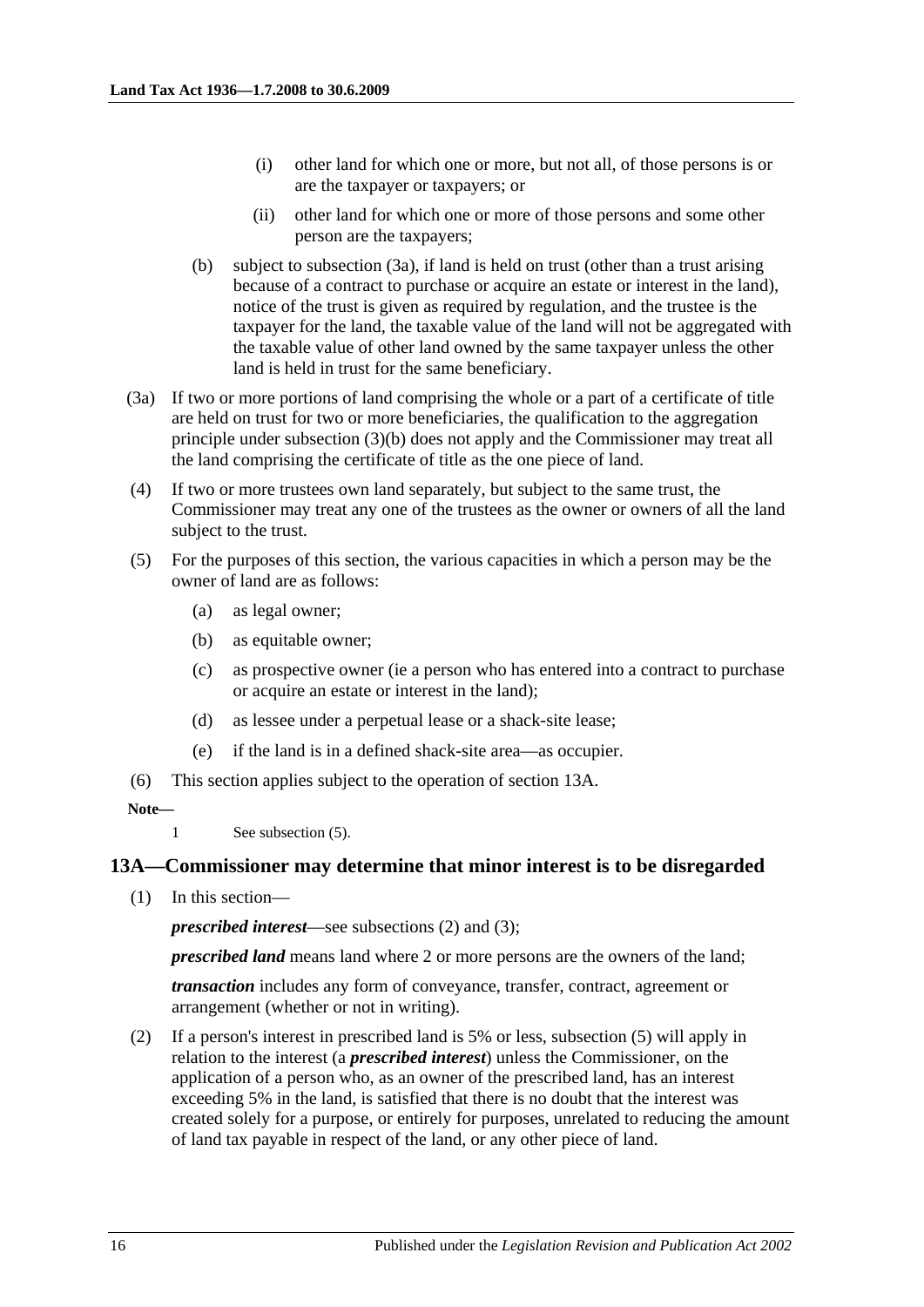- (i) other land for which one or more, but not all, of those persons is or are the taxpayer or taxpayers; or
- (ii) other land for which one or more of those persons and some other person are the taxpayers;
- <span id="page-15-2"></span>(b) subject to [subsection](#page-15-1) (3a), if land is held on trust (other than a trust arising because of a contract to purchase or acquire an estate or interest in the land), notice of the trust is given as required by regulation, and the trustee is the taxpayer for the land, the taxable value of the land will not be aggregated with the taxable value of other land owned by the same taxpayer unless the other land is held in trust for the same beneficiary.
- <span id="page-15-1"></span>(3a) If two or more portions of land comprising the whole or a part of a certificate of title are held on trust for two or more beneficiaries, the qualification to the aggregation principle under [subsection](#page-15-2) (3)(b) does not apply and the Commissioner may treat all the land comprising the certificate of title as the one piece of land.
- (4) If two or more trustees own land separately, but subject to the same trust, the Commissioner may treat any one of the trustees as the owner or owners of all the land subject to the trust.
- <span id="page-15-3"></span>(5) For the purposes of this section, the various capacities in which a person may be the owner of land are as follows:
	- (a) as legal owner;
	- (b) as equitable owner;
	- (c) as prospective owner (ie a person who has entered into a contract to purchase or acquire an estate or interest in the land);
	- (d) as lessee under a perpetual lease or a shack-site lease;
	- (e) if the land is in a defined shack-site area—as occupier.
- (6) This section applies subject to the operation of [section](#page-15-0) 13A.

#### **Note—**

1 See [subsection](#page-15-3) (5).

#### <span id="page-15-0"></span>**13A—Commissioner may determine that minor interest is to be disregarded**

(1) In this section—

*prescribed interest*—see [subsections](#page-15-4) (2) and [\(3\);](#page-16-0)

*prescribed land* means land where 2 or more persons are the owners of the land;

*transaction* includes any form of conveyance, transfer, contract, agreement or arrangement (whether or not in writing).

<span id="page-15-4"></span>(2) If a person's interest in prescribed land is 5% or less, [subsection](#page-16-1) (5) will apply in relation to the interest (a *prescribed interest*) unless the Commissioner, on the application of a person who, as an owner of the prescribed land, has an interest exceeding 5% in the land, is satisfied that there is no doubt that the interest was created solely for a purpose, or entirely for purposes, unrelated to reducing the amount of land tax payable in respect of the land, or any other piece of land.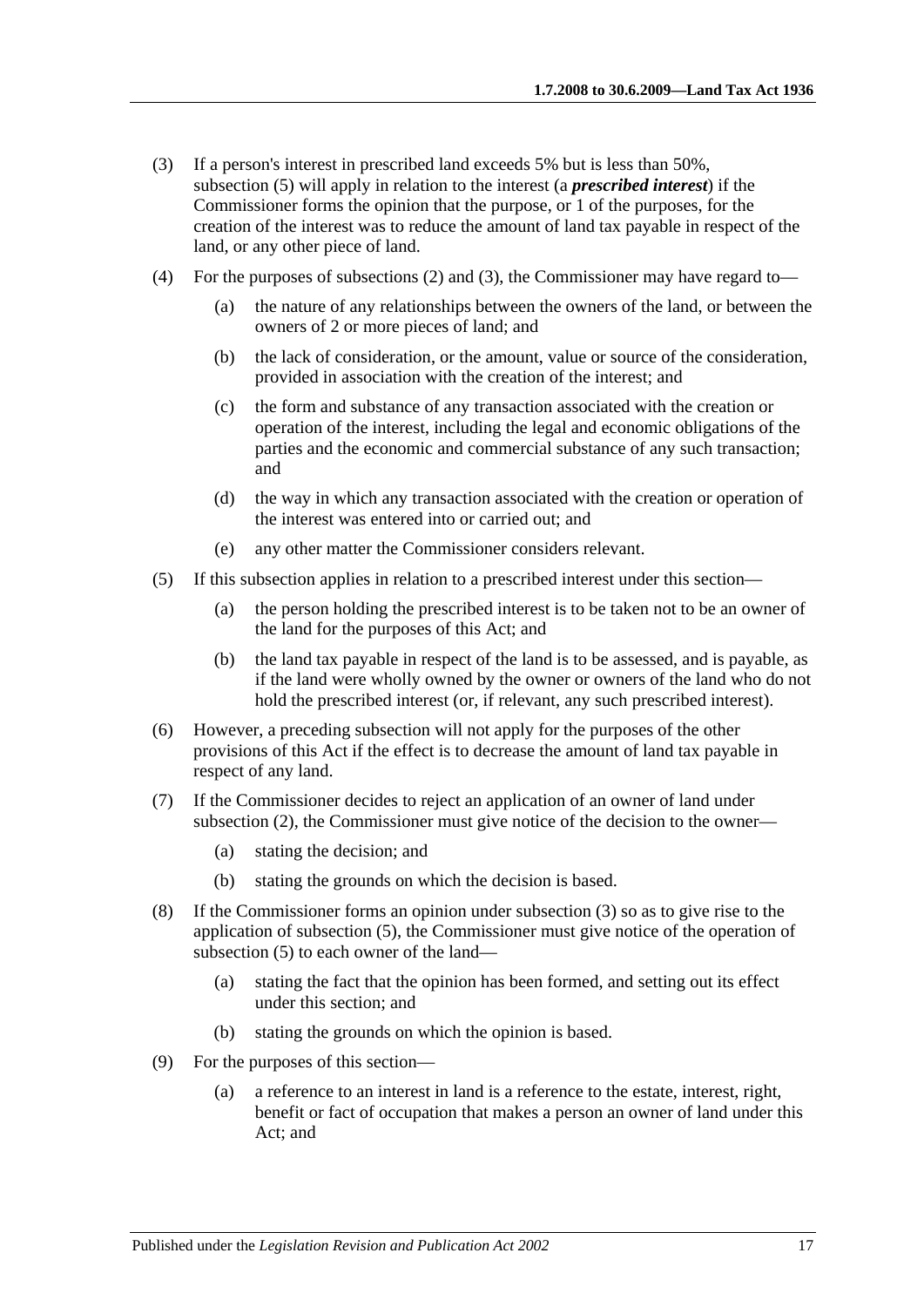- <span id="page-16-0"></span>(3) If a person's interest in prescribed land exceeds 5% but is less than 50%, [subsection](#page-16-1) (5) will apply in relation to the interest (a *prescribed interest*) if the Commissioner forms the opinion that the purpose, or 1 of the purposes, for the creation of the interest was to reduce the amount of land tax payable in respect of the land, or any other piece of land.
- (4) For the purposes of [subsections](#page-15-4) (2) and [\(3\),](#page-16-0) the Commissioner may have regard to—
	- (a) the nature of any relationships between the owners of the land, or between the owners of 2 or more pieces of land; and
	- (b) the lack of consideration, or the amount, value or source of the consideration, provided in association with the creation of the interest; and
	- (c) the form and substance of any transaction associated with the creation or operation of the interest, including the legal and economic obligations of the parties and the economic and commercial substance of any such transaction; and
	- (d) the way in which any transaction associated with the creation or operation of the interest was entered into or carried out; and
	- (e) any other matter the Commissioner considers relevant.
- <span id="page-16-1"></span>(5) If this subsection applies in relation to a prescribed interest under this section—
	- (a) the person holding the prescribed interest is to be taken not to be an owner of the land for the purposes of this Act; and
	- (b) the land tax payable in respect of the land is to be assessed, and is payable, as if the land were wholly owned by the owner or owners of the land who do not hold the prescribed interest (or, if relevant, any such prescribed interest).
- (6) However, a preceding subsection will not apply for the purposes of the other provisions of this Act if the effect is to decrease the amount of land tax payable in respect of any land.
- (7) If the Commissioner decides to reject an application of an owner of land under [subsection](#page-15-4) (2), the Commissioner must give notice of the decision to the owner—
	- (a) stating the decision; and
	- (b) stating the grounds on which the decision is based.
- (8) If the Commissioner forms an opinion under [subsection](#page-16-0) (3) so as to give rise to the application of [subsection](#page-16-1) (5), the Commissioner must give notice of the operation of [subsection](#page-16-1) (5) to each owner of the land—
	- (a) stating the fact that the opinion has been formed, and setting out its effect under this section; and
	- (b) stating the grounds on which the opinion is based.
- (9) For the purposes of this section—
	- (a) a reference to an interest in land is a reference to the estate, interest, right, benefit or fact of occupation that makes a person an owner of land under this Act; and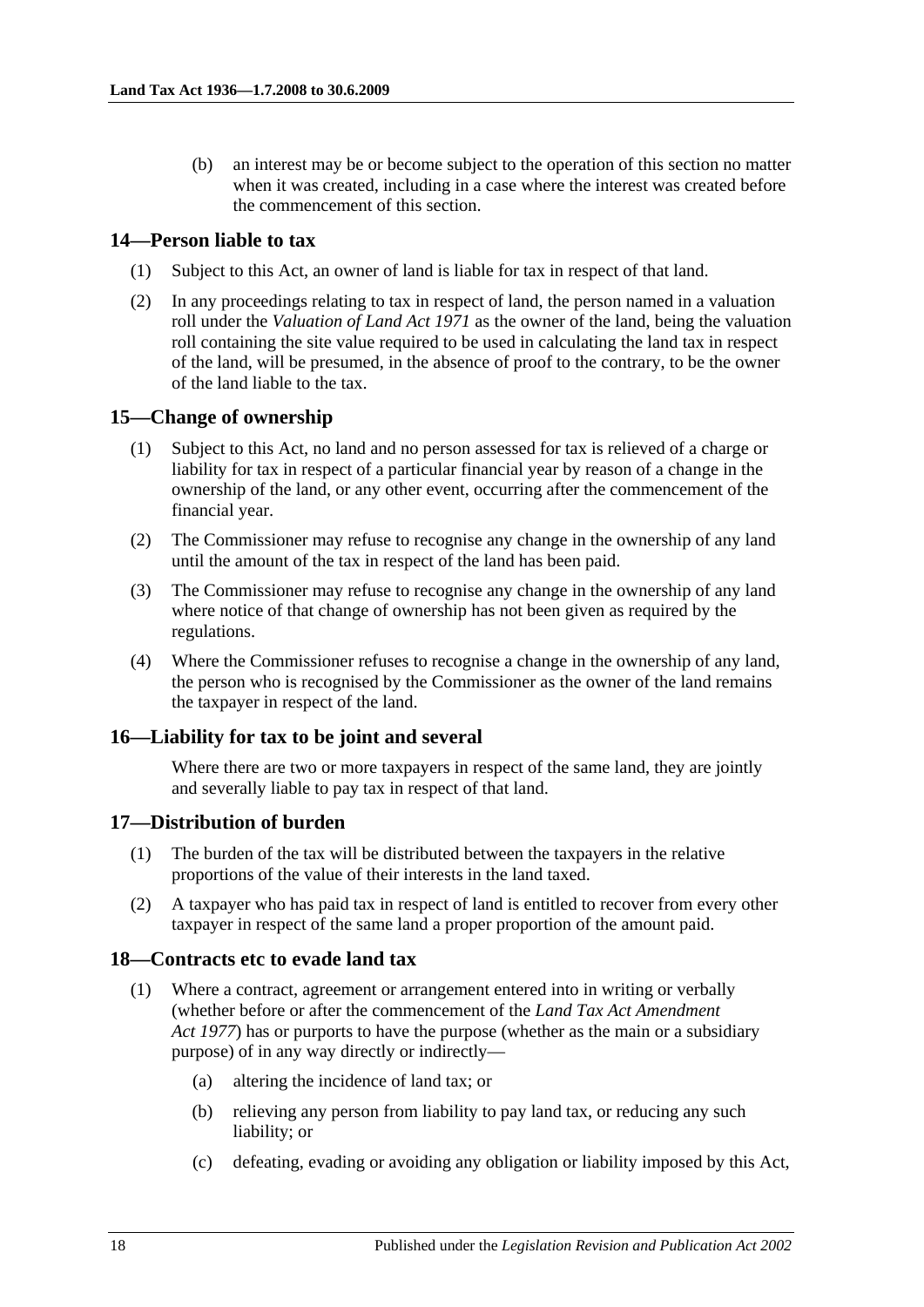(b) an interest may be or become subject to the operation of this section no matter when it was created, including in a case where the interest was created before the commencement of this section.

#### <span id="page-17-0"></span>**14—Person liable to tax**

- (1) Subject to this Act, an owner of land is liable for tax in respect of that land.
- (2) In any proceedings relating to tax in respect of land, the person named in a valuation roll under the *[Valuation of Land Act](http://www.legislation.sa.gov.au/index.aspx?action=legref&type=act&legtitle=Valuation%20of%20Land%20Act%201971) 1971* as the owner of the land, being the valuation roll containing the site value required to be used in calculating the land tax in respect of the land, will be presumed, in the absence of proof to the contrary, to be the owner of the land liable to the tax.

#### <span id="page-17-1"></span>**15—Change of ownership**

- (1) Subject to this Act, no land and no person assessed for tax is relieved of a charge or liability for tax in respect of a particular financial year by reason of a change in the ownership of the land, or any other event, occurring after the commencement of the financial year.
- (2) The Commissioner may refuse to recognise any change in the ownership of any land until the amount of the tax in respect of the land has been paid.
- (3) The Commissioner may refuse to recognise any change in the ownership of any land where notice of that change of ownership has not been given as required by the regulations.
- (4) Where the Commissioner refuses to recognise a change in the ownership of any land, the person who is recognised by the Commissioner as the owner of the land remains the taxpayer in respect of the land.

#### <span id="page-17-2"></span>**16—Liability for tax to be joint and several**

Where there are two or more taxpayers in respect of the same land, they are jointly and severally liable to pay tax in respect of that land.

#### <span id="page-17-3"></span>**17—Distribution of burden**

- (1) The burden of the tax will be distributed between the taxpayers in the relative proportions of the value of their interests in the land taxed.
- (2) A taxpayer who has paid tax in respect of land is entitled to recover from every other taxpayer in respect of the same land a proper proportion of the amount paid.

#### <span id="page-17-4"></span>**18—Contracts etc to evade land tax**

- (1) Where a contract, agreement or arrangement entered into in writing or verbally (whether before or after the commencement of the *Land Tax Act Amendment Act 1977*) has or purports to have the purpose (whether as the main or a subsidiary purpose) of in any way directly or indirectly—
	- (a) altering the incidence of land tax; or
	- (b) relieving any person from liability to pay land tax, or reducing any such liability; or
	- (c) defeating, evading or avoiding any obligation or liability imposed by this Act,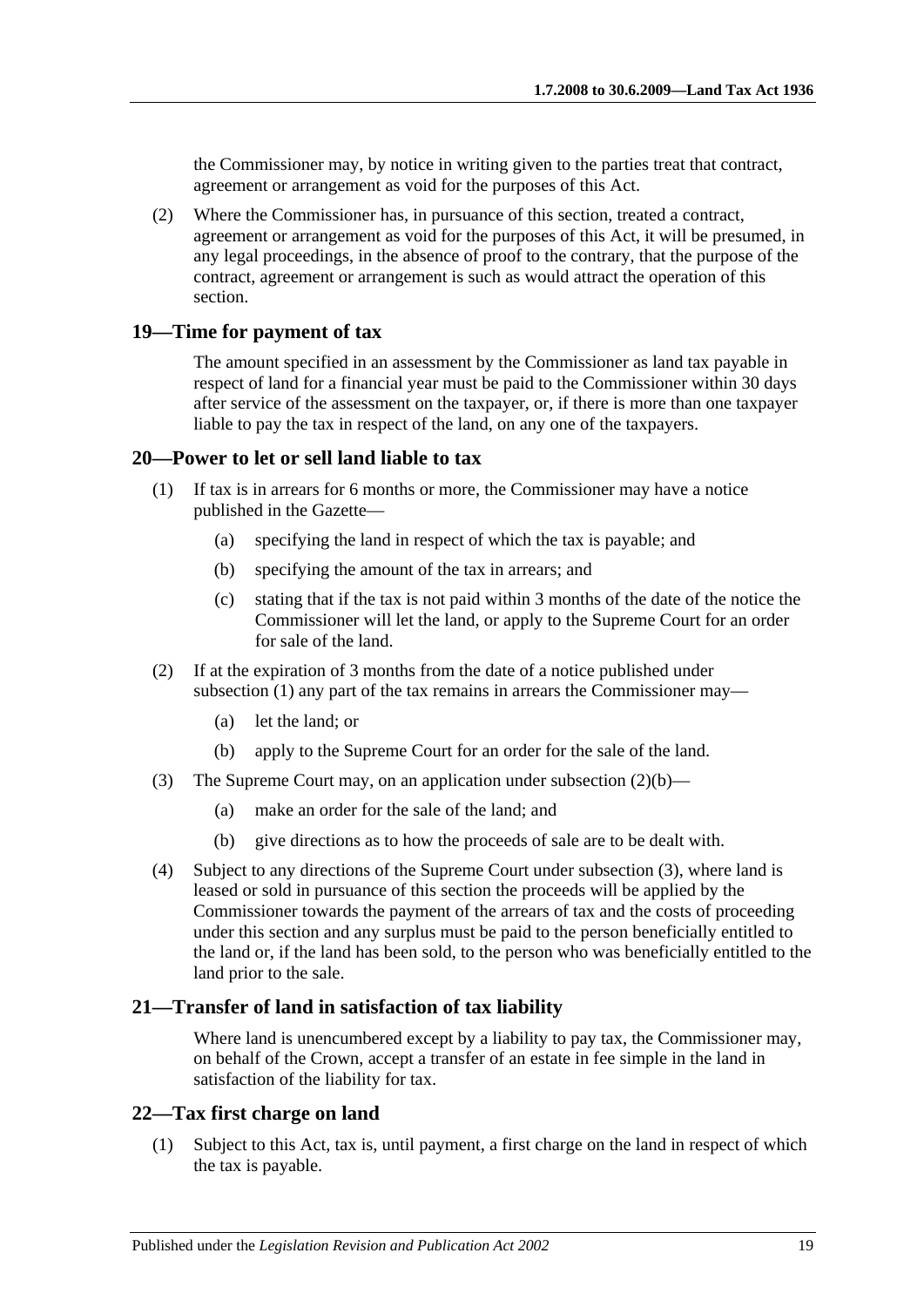the Commissioner may, by notice in writing given to the parties treat that contract, agreement or arrangement as void for the purposes of this Act.

(2) Where the Commissioner has, in pursuance of this section, treated a contract, agreement or arrangement as void for the purposes of this Act, it will be presumed, in any legal proceedings, in the absence of proof to the contrary, that the purpose of the contract, agreement or arrangement is such as would attract the operation of this section.

#### <span id="page-18-0"></span>**19—Time for payment of tax**

The amount specified in an assessment by the Commissioner as land tax payable in respect of land for a financial year must be paid to the Commissioner within 30 days after service of the assessment on the taxpayer, or, if there is more than one taxpayer liable to pay the tax in respect of the land, on any one of the taxpayers.

#### <span id="page-18-4"></span><span id="page-18-1"></span>**20—Power to let or sell land liable to tax**

- (1) If tax is in arrears for 6 months or more, the Commissioner may have a notice published in the Gazette—
	- (a) specifying the land in respect of which the tax is payable; and
	- (b) specifying the amount of the tax in arrears; and
	- (c) stating that if the tax is not paid within 3 months of the date of the notice the Commissioner will let the land, or apply to the Supreme Court for an order for sale of the land.
- (2) If at the expiration of 3 months from the date of a notice published under [subsection](#page-18-4) (1) any part of the tax remains in arrears the Commissioner may—
	- (a) let the land; or
	- (b) apply to the Supreme Court for an order for the sale of the land.
- <span id="page-18-6"></span><span id="page-18-5"></span>(3) The Supreme Court may, on an application under [subsection](#page-18-5)  $(2)(b)$ —
	- (a) make an order for the sale of the land; and
	- (b) give directions as to how the proceeds of sale are to be dealt with.
- (4) Subject to any directions of the Supreme Court under [subsection](#page-18-6) (3), where land is leased or sold in pursuance of this section the proceeds will be applied by the Commissioner towards the payment of the arrears of tax and the costs of proceeding under this section and any surplus must be paid to the person beneficially entitled to the land or, if the land has been sold, to the person who was beneficially entitled to the land prior to the sale.

#### <span id="page-18-2"></span>**21—Transfer of land in satisfaction of tax liability**

Where land is unencumbered except by a liability to pay tax, the Commissioner may, on behalf of the Crown, accept a transfer of an estate in fee simple in the land in satisfaction of the liability for tax.

#### <span id="page-18-3"></span>**22—Tax first charge on land**

(1) Subject to this Act, tax is, until payment, a first charge on the land in respect of which the tax is payable.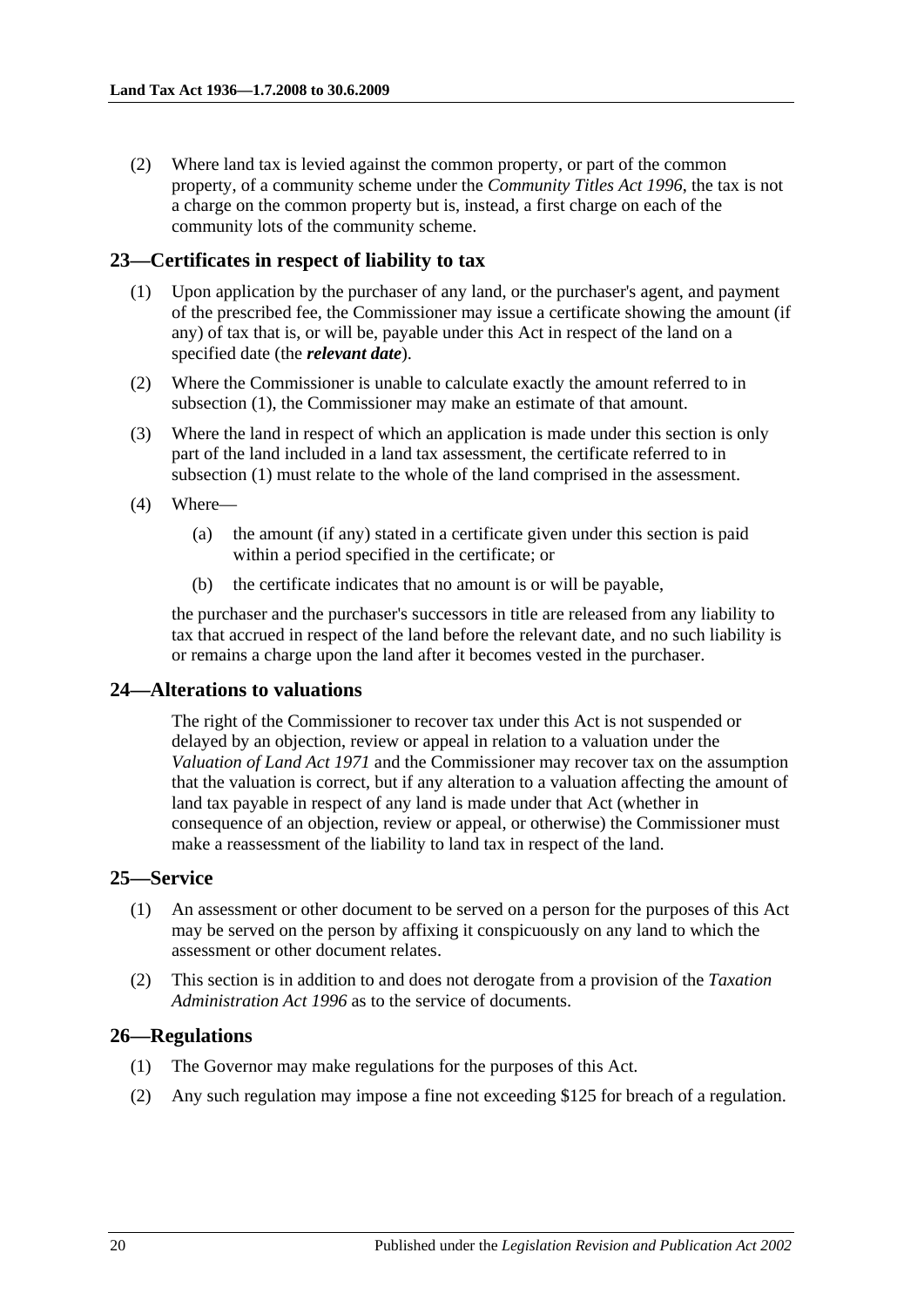(2) Where land tax is levied against the common property, or part of the common property, of a community scheme under the *[Community Titles Act](http://www.legislation.sa.gov.au/index.aspx?action=legref&type=act&legtitle=Community%20Titles%20Act%201996) 1996*, the tax is not a charge on the common property but is, instead, a first charge on each of the community lots of the community scheme.

#### <span id="page-19-4"></span><span id="page-19-0"></span>**23—Certificates in respect of liability to tax**

- (1) Upon application by the purchaser of any land, or the purchaser's agent, and payment of the prescribed fee, the Commissioner may issue a certificate showing the amount (if any) of tax that is, or will be, payable under this Act in respect of the land on a specified date (the *relevant date*).
- (2) Where the Commissioner is unable to calculate exactly the amount referred to in [subsection](#page-19-4) (1), the Commissioner may make an estimate of that amount.
- (3) Where the land in respect of which an application is made under this section is only part of the land included in a land tax assessment, the certificate referred to in [subsection](#page-19-4) (1) must relate to the whole of the land comprised in the assessment.
- (4) Where—
	- (a) the amount (if any) stated in a certificate given under this section is paid within a period specified in the certificate; or
	- (b) the certificate indicates that no amount is or will be payable,

the purchaser and the purchaser's successors in title are released from any liability to tax that accrued in respect of the land before the relevant date, and no such liability is or remains a charge upon the land after it becomes vested in the purchaser.

#### <span id="page-19-1"></span>**24—Alterations to valuations**

The right of the Commissioner to recover tax under this Act is not suspended or delayed by an objection, review or appeal in relation to a valuation under the *[Valuation of Land Act](http://www.legislation.sa.gov.au/index.aspx?action=legref&type=act&legtitle=Valuation%20of%20Land%20Act%201971) 1971* and the Commissioner may recover tax on the assumption that the valuation is correct, but if any alteration to a valuation affecting the amount of land tax payable in respect of any land is made under that Act (whether in consequence of an objection, review or appeal, or otherwise) the Commissioner must make a reassessment of the liability to land tax in respect of the land.

#### <span id="page-19-2"></span>**25—Service**

- (1) An assessment or other document to be served on a person for the purposes of this Act may be served on the person by affixing it conspicuously on any land to which the assessment or other document relates.
- (2) This section is in addition to and does not derogate from a provision of the *[Taxation](http://www.legislation.sa.gov.au/index.aspx?action=legref&type=act&legtitle=Taxation%20Administration%20Act%201996)  [Administration Act](http://www.legislation.sa.gov.au/index.aspx?action=legref&type=act&legtitle=Taxation%20Administration%20Act%201996) 1996* as to the service of documents.

#### <span id="page-19-3"></span>**26—Regulations**

- (1) The Governor may make regulations for the purposes of this Act.
- (2) Any such regulation may impose a fine not exceeding \$125 for breach of a regulation.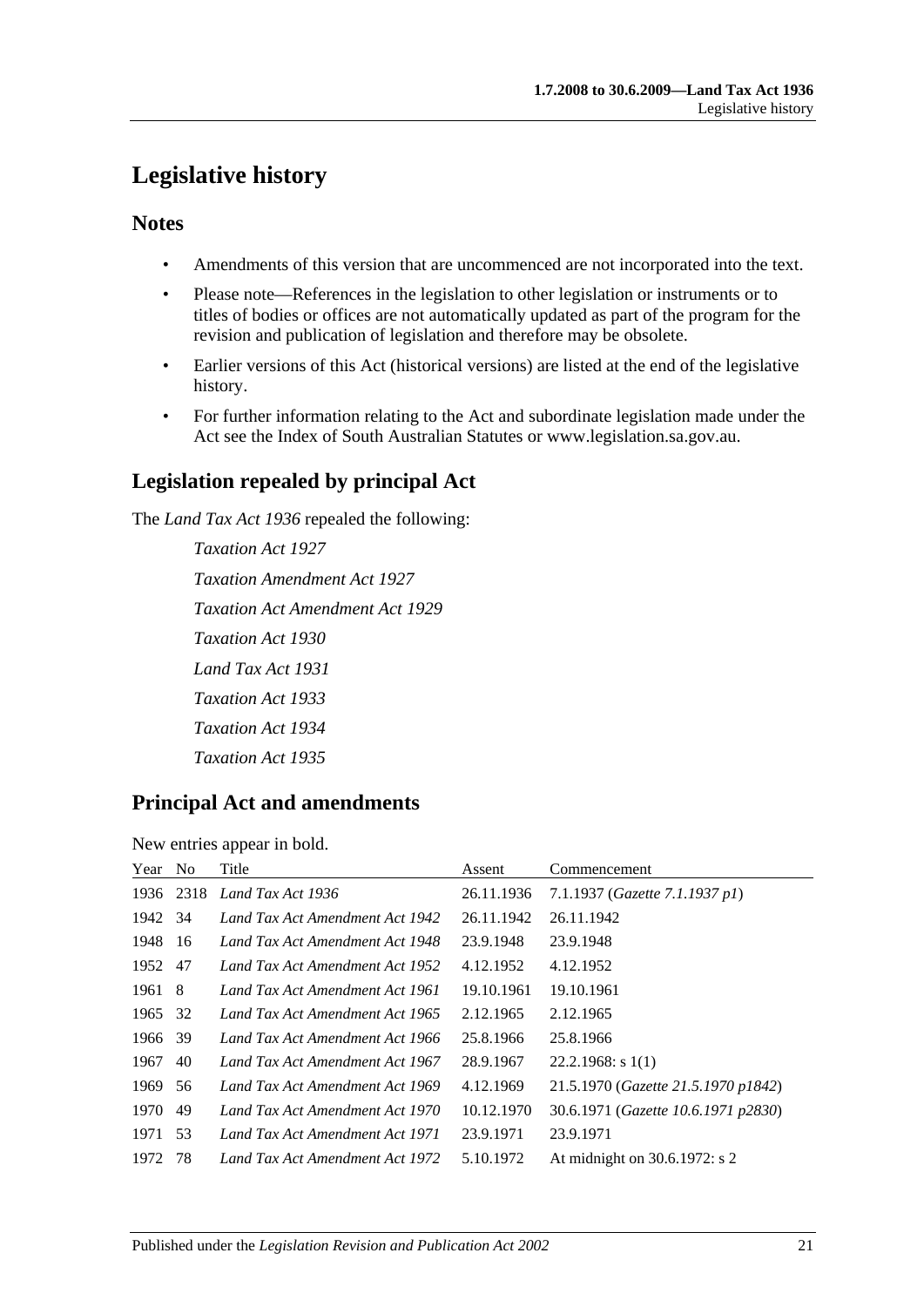## <span id="page-20-0"></span>**Legislative history**

## **Notes**

- Amendments of this version that are uncommenced are not incorporated into the text.
- Please note—References in the legislation to other legislation or instruments or to titles of bodies or offices are not automatically updated as part of the program for the revision and publication of legislation and therefore may be obsolete.
- Earlier versions of this Act (historical versions) are listed at the end of the legislative history.
- For further information relating to the Act and subordinate legislation made under the Act see the Index of South Australian Statutes or www.legislation.sa.gov.au.

## **Legislation repealed by principal Act**

The *Land Tax Act 1936* repealed the following:

*Taxation Act 1927 Taxation Amendment Act 1927 Taxation Act Amendment Act 1929 Taxation Act 1930 Land Tax Act 1931 Taxation Act 1933 Taxation Act 1934 Taxation Act 1935*

## **Principal Act and amendments**

New entries appear in bold.

| Year | N <sub>o</sub> | Title                           | Assent     | Commencement                                 |
|------|----------------|---------------------------------|------------|----------------------------------------------|
| 1936 | 2318           | Land Tax Act 1936               | 26.11.1936 | 7.1.1937 (Gazette 7.1.1937 p1)               |
| 1942 | -34            | Land Tax Act Amendment Act 1942 | 26.11.1942 | 26.11.1942                                   |
| 1948 | 16             | Land Tax Act Amendment Act 1948 | 23.9.1948  | 23.9.1948                                    |
| 1952 | 47             | Land Tax Act Amendment Act 1952 | 4.12.1952  | 4.12.1952                                    |
| 1961 | -8             | Land Tax Act Amendment Act 1961 | 19.10.1961 | 19.10.1961                                   |
| 1965 | 32             | Land Tax Act Amendment Act 1965 | 2.12.1965  | 2.12.1965                                    |
| 1966 | 39             | Land Tax Act Amendment Act 1966 | 25.8.1966  | 25.8.1966                                    |
| 1967 | 40             | Land Tax Act Amendment Act 1967 | 28.9.1967  | $22.2.1968$ : s 1(1)                         |
| 1969 | 56             | Land Tax Act Amendment Act 1969 | 4.12.1969  | 21.5.1970 (Gazette 21.5.1970 p1842)          |
| 1970 | 49             | Land Tax Act Amendment Act 1970 | 10.12.1970 | 30.6.1971 ( <i>Gazette 10.6.1971 p2830</i> ) |
| 1971 | 53             | Land Tax Act Amendment Act 1971 | 23.9.1971  | 23.9.1971                                    |
| 1972 | 78             | Land Tax Act Amendment Act 1972 | 5.10.1972  | At midnight on 30.6.1972: s 2                |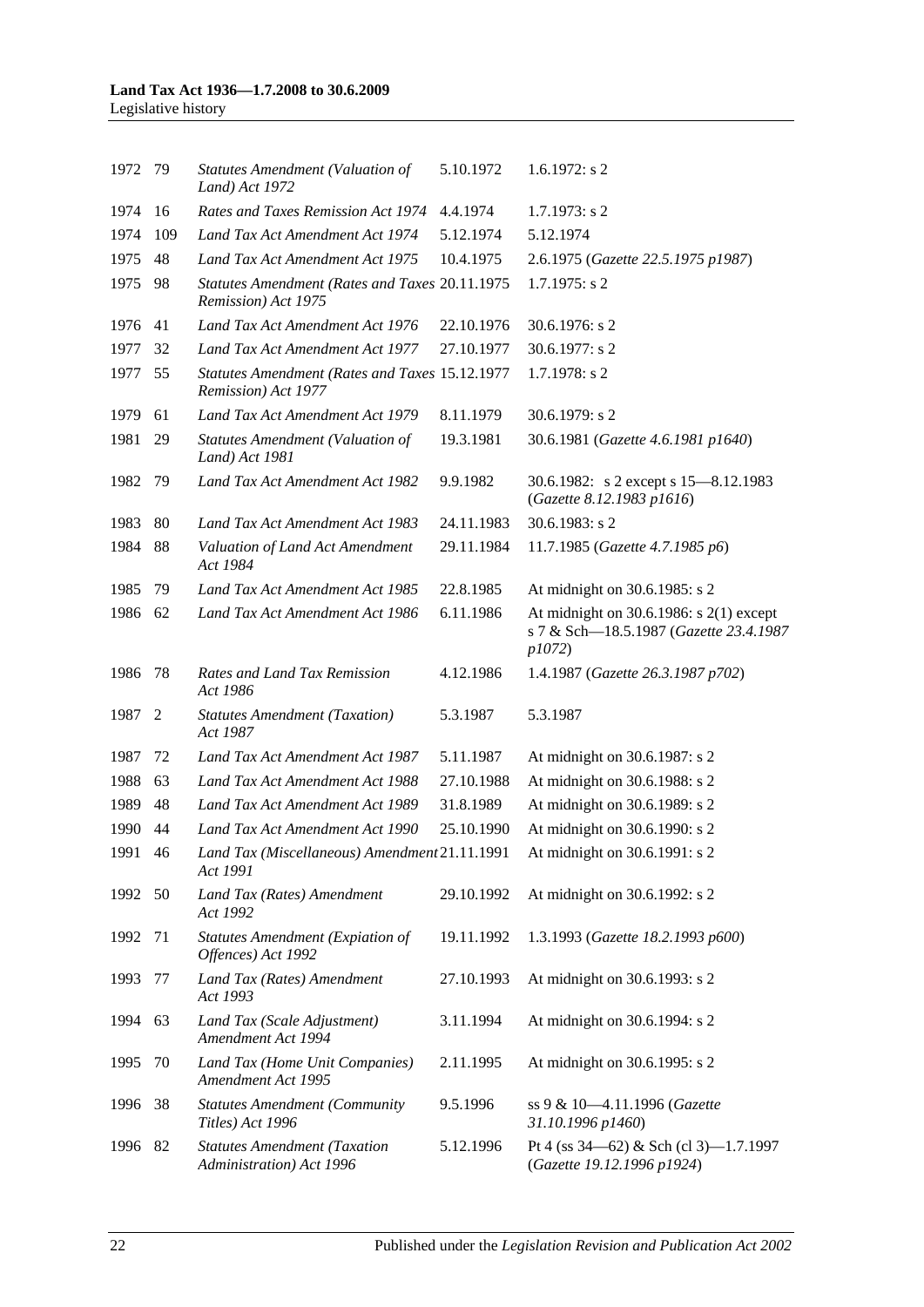| 1972 79 |     | <b>Statutes Amendment (Valuation of</b><br>Land) Act 1972                               | 5.10.1972  | $1.6.1972$ : s 2                                                                                 |
|---------|-----|-----------------------------------------------------------------------------------------|------------|--------------------------------------------------------------------------------------------------|
| 1974    | 16  | Rates and Taxes Remission Act 1974                                                      | 4.4.1974   | $1.7.1973$ : s 2                                                                                 |
| 1974    | 109 | Land Tax Act Amendment Act 1974                                                         | 5.12.1974  | 5.12.1974                                                                                        |
| 1975    | 48  | Land Tax Act Amendment Act 1975                                                         | 10.4.1975  | 2.6.1975 (Gazette 22.5.1975 p1987)                                                               |
| 1975    | 98  | Statutes Amendment (Rates and Taxes 20.11.1975<br>Remission) Act 1975                   |            | $1.7.1975$ : s 2                                                                                 |
| 1976    | 41  | Land Tax Act Amendment Act 1976                                                         | 22.10.1976 | $30.6.1976$ : s 2                                                                                |
| 1977    | 32  | Land Tax Act Amendment Act 1977                                                         | 27.10.1977 | $30.6.1977$ : s 2                                                                                |
| 1977    | 55  | Statutes Amendment (Rates and Taxes 15.12.1977<br>Remission) Act 1977                   |            | $1.7.1978$ : s 2                                                                                 |
| 1979    | 61  | Land Tax Act Amendment Act 1979                                                         | 8.11.1979  | $30.6.1979$ : s 2                                                                                |
| 1981    | 29  | Statutes Amendment (Valuation of<br>Land) Act 1981                                      | 19.3.1981  | 30.6.1981 (Gazette 4.6.1981 p1640)                                                               |
| 1982    | 79  | Land Tax Act Amendment Act 1982                                                         | 9.9.1982   | 30.6.1982: s 2 except s 15-8.12.1983<br>(Gazette 8.12.1983 p1616)                                |
| 1983    | 80  | Land Tax Act Amendment Act 1983                                                         | 24.11.1983 | $30.6.1983$ : s 2                                                                                |
| 1984    | 88  | Valuation of Land Act Amendment<br>Act 1984                                             | 29.11.1984 | 11.7.1985 (Gazette 4.7.1985 p6)                                                                  |
| 1985    | 79  | Land Tax Act Amendment Act 1985                                                         | 22.8.1985  | At midnight on 30.6.1985: s 2                                                                    |
| 1986    | 62  | Land Tax Act Amendment Act 1986                                                         | 6.11.1986  | At midnight on $30.6.1986$ : s $2(1)$ except<br>s 7 & Sch-18.5.1987 (Gazette 23.4.1987<br>p1072) |
| 1986    | -78 | Rates and Land Tax Remission<br>Act 1986                                                | 4.12.1986  | 1.4.1987 (Gazette 26.3.1987 p702)                                                                |
| 1987    | 2   | <b>Statutes Amendment (Taxation)</b><br>Act 1987                                        | 5.3.1987   | 5.3.1987                                                                                         |
| 1987    | 72  | Land Tax Act Amendment Act 1987                                                         | 5.11.1987  | At midnight on 30.6.1987: s 2                                                                    |
| 1988    | 63  | Land Tax Act Amendment Act 1988                                                         | 27.10.1988 | At midnight on 30.6.1988: s 2                                                                    |
| 1989    | 48  | Land Tax Act Amendment Act 1989                                                         | 31.8.1989  | At midnight on 30.6.1989: s 2                                                                    |
| 1990    | 44  | Land Tax Act Amendment Act 1990                                                         | 25.10.1990 | At midnight on 30.6.1990: s 2                                                                    |
| 1991 46 |     | Land Tax (Miscellaneous) Amendment 21.11.1991 At midnight on 30.6.1991: s 2<br>Act 1991 |            |                                                                                                  |
| 1992 50 |     | Land Tax (Rates) Amendment<br>Act 1992                                                  | 29.10.1992 | At midnight on 30.6.1992: s 2                                                                    |
| 1992    | 71  | Statutes Amendment (Expiation of<br>Offences) Act 1992                                  | 19.11.1992 | 1.3.1993 (Gazette 18.2.1993 p600)                                                                |
| 1993    | 77  | Land Tax (Rates) Amendment<br>Act 1993                                                  | 27.10.1993 | At midnight on 30.6.1993: s 2                                                                    |
| 1994    | 63  | Land Tax (Scale Adjustment)<br>Amendment Act 1994                                       | 3.11.1994  | At midnight on 30.6.1994: s 2                                                                    |
| 1995    | 70  | Land Tax (Home Unit Companies)<br>Amendment Act 1995                                    | 2.11.1995  | At midnight on 30.6.1995: s 2                                                                    |
| 1996    | 38  | <b>Statutes Amendment (Community</b><br>Titles) Act 1996                                | 9.5.1996   | ss 9 & 10-4.11.1996 (Gazette<br>31.10.1996 p1460)                                                |
| 1996 82 |     | <b>Statutes Amendment (Taxation</b><br>Administration) Act 1996                         | 5.12.1996  | Pt 4 (ss 34-62) & Sch (cl 3)-1.7.1997<br>(Gazette 19.12.1996 p1924)                              |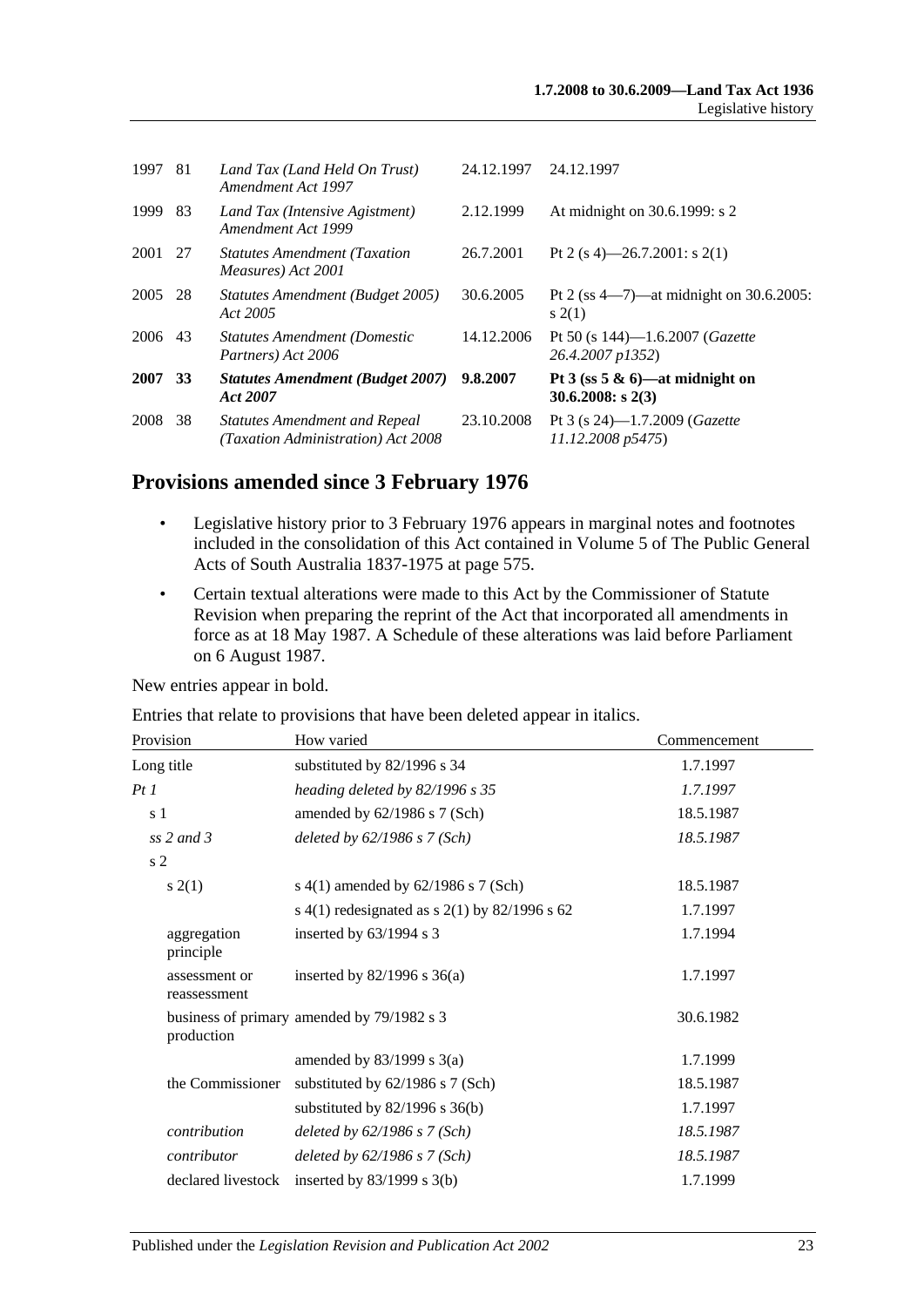| 1997    | 81        | Land Tax (Land Held On Trust)<br>Amendment Act 1997                        | 24.12.1997 | 24.12.1997                                                     |
|---------|-----------|----------------------------------------------------------------------------|------------|----------------------------------------------------------------|
| 1999    | 83        | Land Tax (Intensive Agistment)<br>Amendment Act 1999                       | 2.12.1999  | At midnight on 30.6.1999: s 2                                  |
| 2001    | 27        | <b>Statutes Amendment (Taxation</b><br>Measures) Act 2001                  | 26.7.2001  | Pt 2 (s 4)—26.7.2001: s 2(1)                                   |
| 2005    | 28        | Statutes Amendment (Budget 2005)<br>Act 2005                               | 30.6.2005  | Pt 2 (ss $4-7$ )—at midnight on 30.6.2005:<br>s(2(1))          |
| 2006 43 |           | <b>Statutes Amendment (Domestic</b><br>Partners) Act 2006                  | 14.12.2006 | Pt 50 (s $144$ )-1.6.2007 ( <i>Gazette</i><br>26.4.2007 p1352) |
| 2007    | <b>33</b> | <b>Statutes Amendment (Budget 2007)</b><br>Act 2007                        | 9.8.2007   | Pt $3$ (ss $5 \& 6$ )—at midnight on<br>30.6.2008: $s$ 2(3)    |
| 2008    | 38        | <b>Statutes Amendment and Repeal</b><br>(Taxation Administration) Act 2008 | 23.10.2008 | Pt 3 (s $24$ )-1.7.2009 ( <i>Gazette</i><br>11.12.2008 p5475   |

## **Provisions amended since 3 February 1976**

- Legislative history prior to 3 February 1976 appears in marginal notes and footnotes included in the consolidation of this Act contained in Volume 5 of The Public General Acts of South Australia 1837-1975 at page 575.
- Certain textual alterations were made to this Act by the Commissioner of Statute Revision when preparing the reprint of the Act that incorporated all amendments in force as at 18 May 1987. A Schedule of these alterations was laid before Parliament on 6 August 1987.

New entries appear in bold.

Entries that relate to provisions that have been deleted appear in italics.

| Provision                     | How varied                                        | Commencement |
|-------------------------------|---------------------------------------------------|--------------|
| Long title                    | substituted by 82/1996 s 34                       | 1.7.1997     |
| PtI                           | heading deleted by 82/1996 s 35                   | 1.7.1997     |
| s 1                           | amended by 62/1986 s 7 (Sch)                      | 18.5.1987    |
| ss $2$ and $3$                | deleted by $62/1986$ s $7(Sch)$                   | 18.5.1987    |
| s <sub>2</sub>                |                                                   |              |
| s(2(1))                       | s 4(1) amended by $62/1986$ s 7 (Sch)             | 18.5.1987    |
|                               | s $4(1)$ redesignated as s $2(1)$ by 82/1996 s 62 | 1.7.1997     |
| aggregation<br>principle      | inserted by 63/1994 s 3                           | 1.7.1994     |
| assessment or<br>reassessment | inserted by $82/1996$ s $36(a)$                   | 1.7.1997     |
| production                    | business of primary amended by 79/1982 s 3        | 30.6.1982    |
|                               | amended by $83/1999$ s $3(a)$                     | 1.7.1999     |
| the Commissioner              | substituted by $62/1986$ s 7 (Sch)                | 18.5.1987    |
|                               | substituted by $82/1996$ s $36(b)$                | 1.7.1997     |
| contribution                  | deleted by $62/1986$ s $7(Sch)$                   | 18.5.1987    |
| contributor                   | deleted by $62/1986$ s $7(Sch)$                   | 18.5.1987    |
| declared livestock            | inserted by $83/1999$ s $3(b)$                    | 1.7.1999     |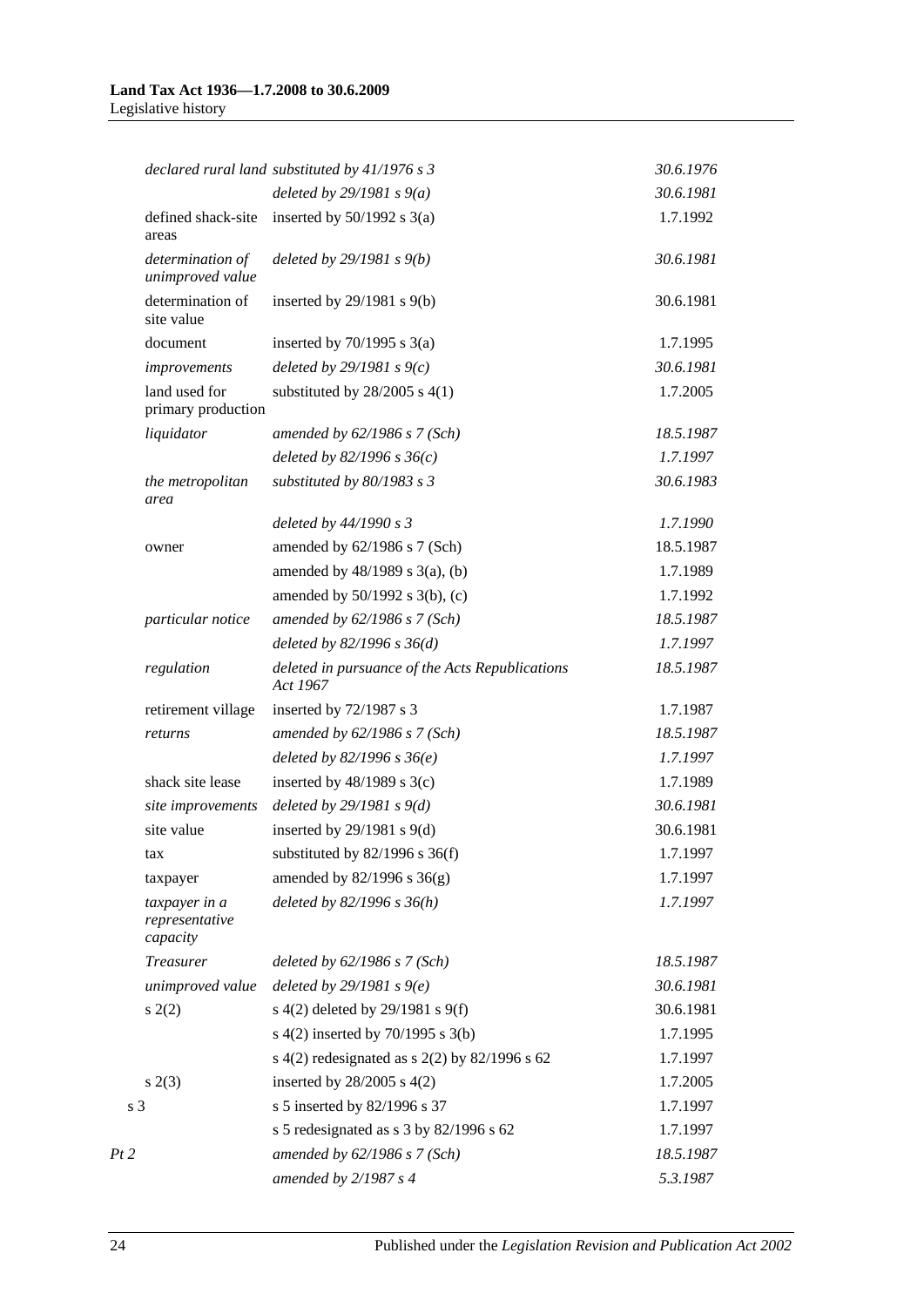|                |                                             | declared rural land substituted by $41/1976 s 3$            | 30.6.1976 |
|----------------|---------------------------------------------|-------------------------------------------------------------|-----------|
|                |                                             | deleted by $29/1981 s 9(a)$                                 | 30.6.1981 |
|                | defined shack-site<br>areas                 | inserted by $50/1992$ s $3(a)$                              | 1.7.1992  |
|                | determination of<br>unimproved value        | deleted by $29/1981 s 9(b)$                                 | 30.6.1981 |
|                | determination of<br>site value              | inserted by $29/1981$ s $9(b)$                              | 30.6.1981 |
|                | document                                    | inserted by $70/1995$ s $3(a)$                              | 1.7.1995  |
|                | improvements                                | deleted by $29/1981 s$ 9(c)                                 | 30.6.1981 |
|                | land used for<br>primary production         | substituted by $28/2005$ s 4(1)                             | 1.7.2005  |
|                | liquidator                                  | amended by $62/1986$ s $7$ (Sch)                            | 18.5.1987 |
|                |                                             | deleted by $82/1996 s 36(c)$                                | 1.7.1997  |
|                | the metropolitan<br>area                    | substituted by $80/1983$ s 3                                | 30.6.1983 |
|                |                                             | deleted by 44/1990 s 3                                      | 1.7.1990  |
|                | owner                                       | amended by 62/1986 s 7 (Sch)                                | 18.5.1987 |
|                |                                             | amended by $48/1989$ s $3(a)$ , (b)                         | 1.7.1989  |
|                |                                             | amended by 50/1992 s 3(b), (c)                              | 1.7.1992  |
|                | particular notice                           | amended by $62/1986$ s $7$ (Sch)                            | 18.5.1987 |
|                |                                             | deleted by $82/1996 s 36(d)$                                | 1.7.1997  |
|                | regulation                                  | deleted in pursuance of the Acts Republications<br>Act 1967 | 18.5.1987 |
|                | retirement village                          | inserted by 72/1987 s 3                                     | 1.7.1987  |
|                | returns                                     | amended by $62/1986$ s $7$ (Sch)                            | 18.5.1987 |
|                |                                             | deleted by $82/1996 s 36(e)$                                | 1.7.1997  |
|                | shack site lease                            | inserted by $48/1989$ s $3(c)$                              | 1.7.1989  |
|                | site improvements                           | deleted by $29/1981 s 9(d)$                                 | 30.6.1981 |
|                | site value                                  | inserted by $29/1981$ s $9(d)$                              | 30.6.1981 |
|                | tax                                         | substituted by $82/1996$ s $36(f)$                          | 1.7.1997  |
|                | taxpayer                                    | amended by 82/1996 s 36(g)                                  | 1.7.1997  |
|                | taxpayer in a<br>representative<br>capacity | deleted by $82/1996 s 36(h)$                                | 1.7.1997  |
|                | <b>Treasurer</b>                            | deleted by $62/1986$ s $7 (Sch)$                            | 18.5.1987 |
|                | unimproved value                            | deleted by $29/1981 s9(e)$                                  | 30.6.1981 |
|                | s(2)                                        | s 4(2) deleted by 29/1981 s 9(f)                            | 30.6.1981 |
|                |                                             | s 4(2) inserted by 70/1995 s 3(b)                           | 1.7.1995  |
|                |                                             | s $4(2)$ redesignated as s $2(2)$ by $82/1996$ s 62         | 1.7.1997  |
|                | s(2(3))                                     | inserted by $28/2005$ s $4(2)$                              | 1.7.2005  |
| s <sub>3</sub> |                                             | s 5 inserted by 82/1996 s 37                                | 1.7.1997  |
|                |                                             | s 5 redesignated as s 3 by 82/1996 s 62                     | 1.7.1997  |
| Pt2            |                                             | amended by 62/1986 s 7 (Sch)                                | 18.5.1987 |
|                |                                             | amended by $2/1987 s 4$                                     | 5.3.1987  |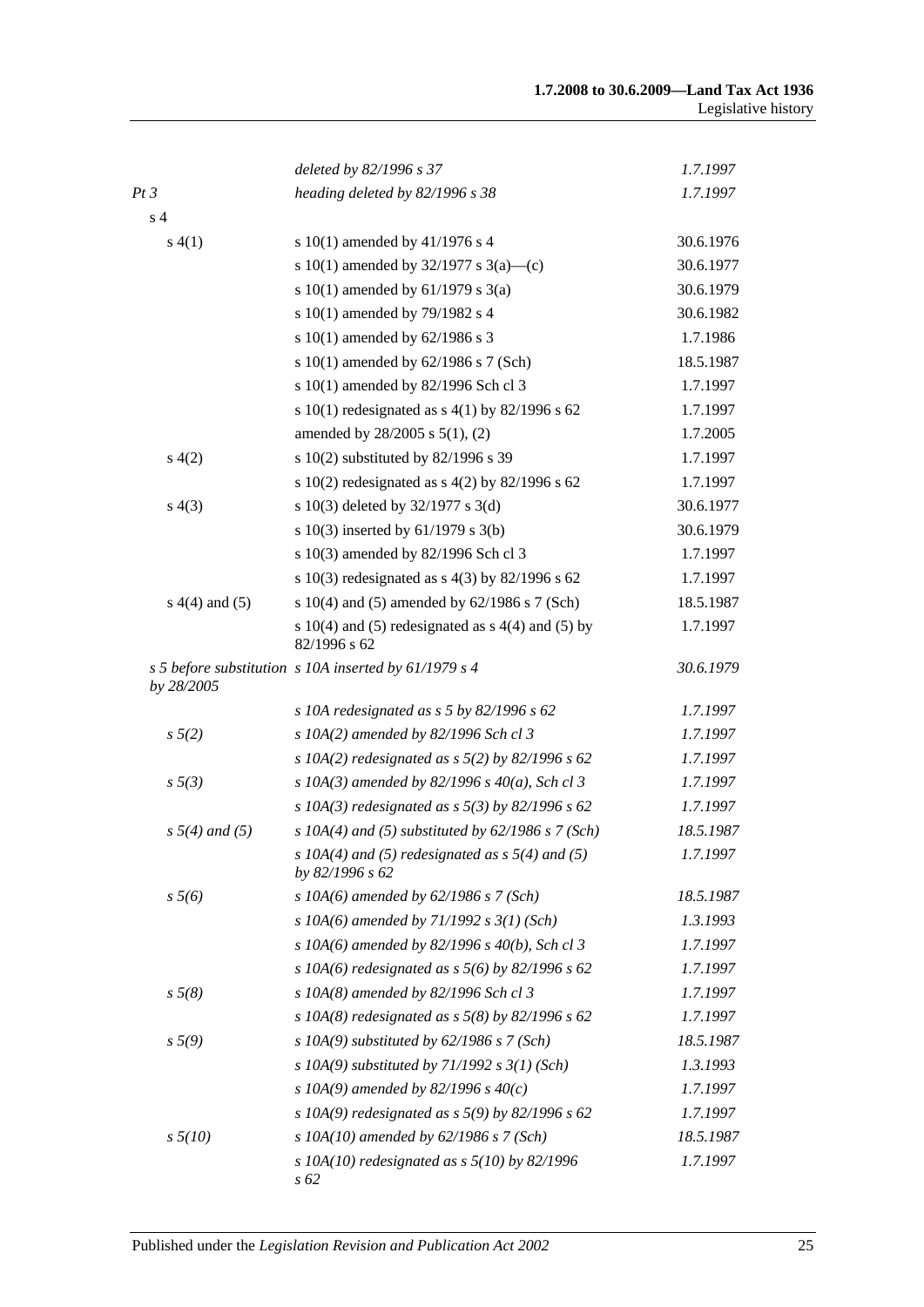|                     | deleted by 82/1996 s 37                                                | 1.7.1997  |
|---------------------|------------------------------------------------------------------------|-----------|
| Pt 3                | heading deleted by 82/1996 s 38                                        | 1.7.1997  |
| s <sub>4</sub>      |                                                                        |           |
| s(4(1))             | s $10(1)$ amended by $41/1976$ s 4                                     | 30.6.1976 |
|                     | s 10(1) amended by 32/1977 s 3(a)—(c)                                  | 30.6.1977 |
|                     | s 10(1) amended by 61/1979 s 3(a)                                      | 30.6.1979 |
|                     | s 10(1) amended by 79/1982 s 4                                         | 30.6.1982 |
|                     | s 10(1) amended by 62/1986 s 3                                         | 1.7.1986  |
|                     | s 10(1) amended by 62/1986 s 7 (Sch)                                   | 18.5.1987 |
|                     | s 10(1) amended by 82/1996 Sch cl 3                                    | 1.7.1997  |
|                     | s 10(1) redesignated as $s$ 4(1) by 82/1996 s 62                       | 1.7.1997  |
|                     | amended by 28/2005 s 5(1), (2)                                         | 1.7.2005  |
| s(4(2)              | s 10(2) substituted by 82/1996 s 39                                    | 1.7.1997  |
|                     | s 10(2) redesignated as s 4(2) by 82/1996 s 62                         | 1.7.1997  |
| s(4(3))             | s 10(3) deleted by 32/1977 s 3(d)                                      | 30.6.1977 |
|                     | s 10(3) inserted by $61/1979$ s 3(b)                                   | 30.6.1979 |
|                     | s 10(3) amended by 82/1996 Sch cl 3                                    | 1.7.1997  |
|                     | s 10(3) redesignated as s 4(3) by 82/1996 s 62                         | 1.7.1997  |
| $s(4(4)$ and $(5)$  | s $10(4)$ and (5) amended by $62/1986$ s 7 (Sch)                       | 18.5.1987 |
|                     | s $10(4)$ and (5) redesignated as s $4(4)$ and (5) by<br>82/1996 s 62  | 1.7.1997  |
| by 28/2005          | s 5 before substitution s 10A inserted by 61/1979 s 4                  | 30.6.1979 |
|                     | s 10A redesignated as $s$ 5 by 82/1996 $s$ 62                          | 1.7.1997  |
| $s\,5(2)$           | s 10A(2) amended by 82/1996 Sch cl 3                                   | 1.7.1997  |
|                     | s 10A(2) redesignated as $s$ 5(2) by 82/1996 $s$ 62                    | 1.7.1997  |
| $s\sqrt{3}$         | s 10A(3) amended by 82/1996 s 40(a), Sch cl 3                          | 1.7.1997  |
|                     | s 10A(3) redesignated as $s$ 5(3) by 82/1996 s 62                      | 1.7.1997  |
| $s 5(4)$ and (5)    | s $10A(4)$ and (5) substituted by $62/1986$ s $7$ (Sch)                | 18.5.1987 |
|                     | s $10A(4)$ and (5) redesignated as s $5(4)$ and (5)<br>by 82/1996 s 62 | 1.7.1997  |
| $s\,5(6)$           | s $10A(6)$ amended by $62/1986$ s $7(Sch)$                             | 18.5.1987 |
|                     | s $10A(6)$ amended by $71/1992$ s $3(1)$ (Sch)                         | 1.3.1993  |
|                     | s 10A(6) amended by 82/1996 s 40(b), Sch cl 3                          | 1.7.1997  |
|                     | s 10A(6) redesignated as $s$ 5(6) by 82/1996 s 62                      | 1.7.1997  |
| $s\,5(8)$           | s 10A(8) amended by 82/1996 Sch cl 3                                   | 1.7.1997  |
|                     | s 10A(8) redesignated as $s$ 5(8) by 82/1996 s 62                      | 1.7.1997  |
| $s\,5(9)$           | s $10A(9)$ substituted by 62/1986 s 7 (Sch)                            | 18.5.1987 |
|                     | s $10A(9)$ substituted by $71/1992$ s $3(1)$ (Sch)                     | 1.3.1993  |
|                     | s 10A(9) amended by 82/1996 s $40(c)$                                  | 1.7.1997  |
|                     | s 10A(9) redesignated as $s$ 5(9) by 82/1996 s 62                      | 1.7.1997  |
| $s \frac{5(10)}{2}$ | s 10A(10) amended by $62/1986$ s 7 (Sch)                               | 18.5.1987 |
|                     | s 10A(10) redesignated as $s$ 5(10) by 82/1996<br>s 62                 | 1.7.1997  |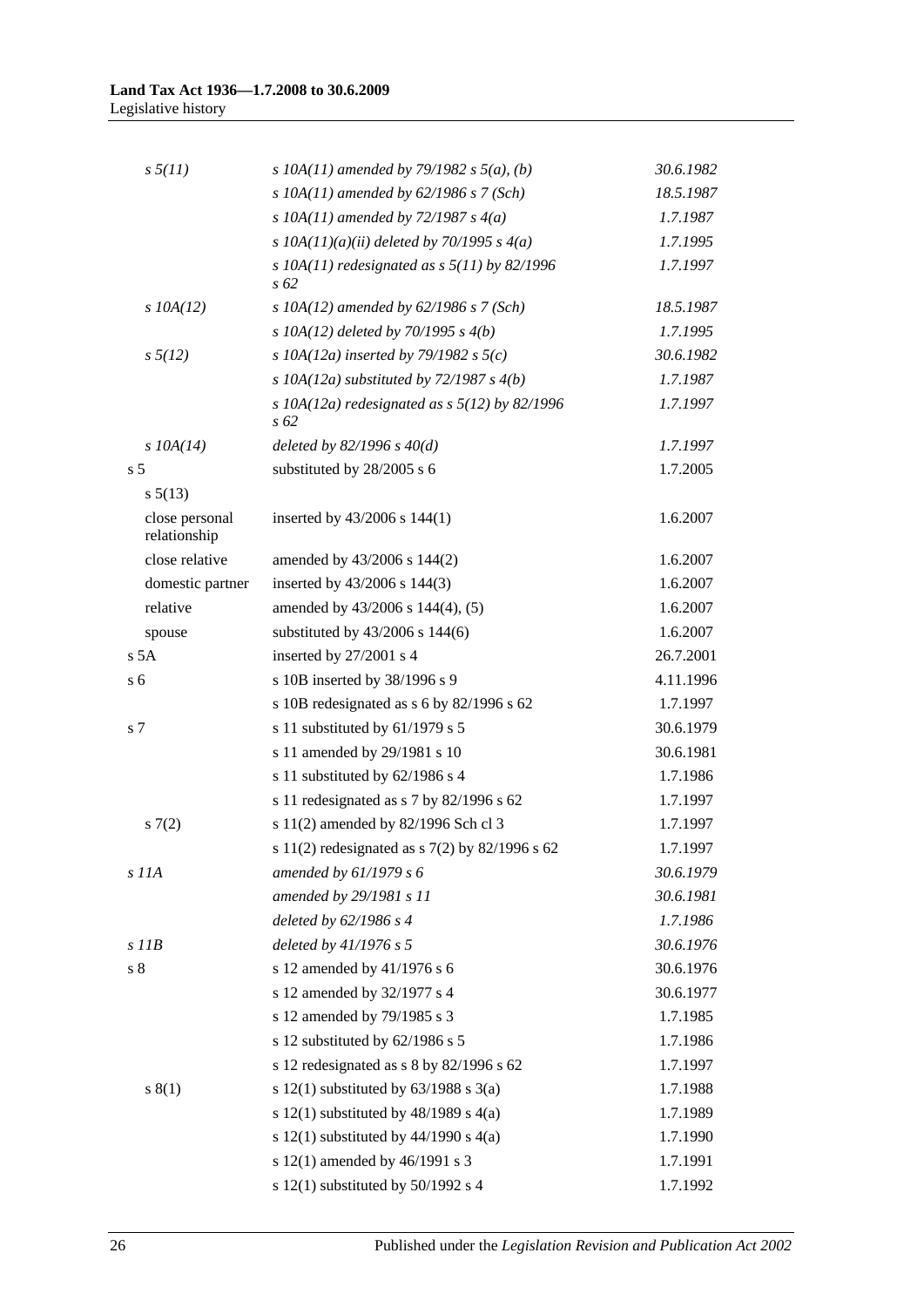| $s \frac{5}{11}$               | s 10A(11) amended by 79/1982 s $5(a)$ , (b)                 | 30.6.1982 |
|--------------------------------|-------------------------------------------------------------|-----------|
|                                | s $10A(11)$ amended by 62/1986 s 7 (Sch)                    | 18.5.1987 |
|                                | s 10A(11) amended by 72/1987 s $4(a)$                       | 1.7.1987  |
|                                | s $10A(11)(a)(ii)$ deleted by 70/1995 s $4(a)$              | 1.7.1995  |
|                                | s $10A(11)$ redesignated as s $5(11)$ by 82/1996<br>$s\,62$ | 1.7.1997  |
| $s$ 10A(12)                    | s 10A(12) amended by $62/1986$ s 7 (Sch)                    | 18.5.1987 |
|                                | s 10A(12) deleted by 70/1995 s $4(b)$                       | 1.7.1995  |
| $s\,5(12)$                     | s 10A(12a) inserted by 79/1982 s $5(c)$                     | 30.6.1982 |
|                                | s 10A(12a) substituted by 72/1987 s $4(b)$                  | 1.7.1987  |
|                                | s 10A(12a) redesignated as s $5(12)$ by 82/1996<br>$s\,62$  | 1.7.1997  |
| $s$ $10A(14)$                  | deleted by $82/1996 s 40(d)$                                | 1.7.1997  |
| s <sub>5</sub>                 | substituted by 28/2005 s 6                                  | 1.7.2005  |
| $s\,5(13)$                     |                                                             |           |
| close personal<br>relationship | inserted by $43/2006$ s $144(1)$                            | 1.6.2007  |
| close relative                 | amended by 43/2006 s 144(2)                                 | 1.6.2007  |
| domestic partner               | inserted by 43/2006 s 144(3)                                | 1.6.2007  |
| relative                       | amended by 43/2006 s 144(4), (5)                            | 1.6.2007  |
| spouse                         | substituted by 43/2006 s 144(6)                             | 1.6.2007  |
| s <sub>5A</sub>                | inserted by 27/2001 s 4                                     | 26.7.2001 |
| s <sub>6</sub>                 | s 10B inserted by 38/1996 s 9                               | 4.11.1996 |
|                                | s 10B redesignated as s 6 by 82/1996 s 62                   | 1.7.1997  |
| s 7                            | s 11 substituted by 61/1979 s 5                             | 30.6.1979 |
|                                | s 11 amended by 29/1981 s 10                                | 30.6.1981 |
|                                | s 11 substituted by 62/1986 s 4                             | 1.7.1986  |
|                                | s 11 redesignated as s 7 by 82/1996 s 62                    | 1.7.1997  |
| 57(2)                          | s 11(2) amended by 82/1996 Sch cl 3                         | 1.7.1997  |
|                                | s 11(2) redesignated as s 7(2) by 82/1996 s 62              | 1.7.1997  |
| s 11A                          | amended by $61/1979 s 6$                                    | 30.6.1979 |
|                                | amended by 29/1981 s 11                                     | 30.6.1981 |
|                                | deleted by $62/1986 s 4$                                    | 1.7.1986  |
| $s$ $11B$                      | deleted by 41/1976 s 5                                      | 30.6.1976 |
| s <sub>8</sub>                 | s 12 amended by 41/1976 s 6                                 | 30.6.1976 |
|                                | s 12 amended by 32/1977 s 4                                 | 30.6.1977 |
|                                | s 12 amended by 79/1985 s 3                                 | 1.7.1985  |
|                                | s 12 substituted by 62/1986 s 5                             | 1.7.1986  |
|                                | s 12 redesignated as s 8 by 82/1996 s 62                    | 1.7.1997  |
| s(1)                           | s 12(1) substituted by $63/1988$ s 3(a)                     | 1.7.1988  |
|                                | s $12(1)$ substituted by $48/1989$ s $4(a)$                 | 1.7.1989  |
|                                | s 12(1) substituted by $44/1990$ s $4(a)$                   | 1.7.1990  |
|                                | s 12(1) amended by 46/1991 s 3                              | 1.7.1991  |
|                                | s 12(1) substituted by 50/1992 s 4                          | 1.7.1992  |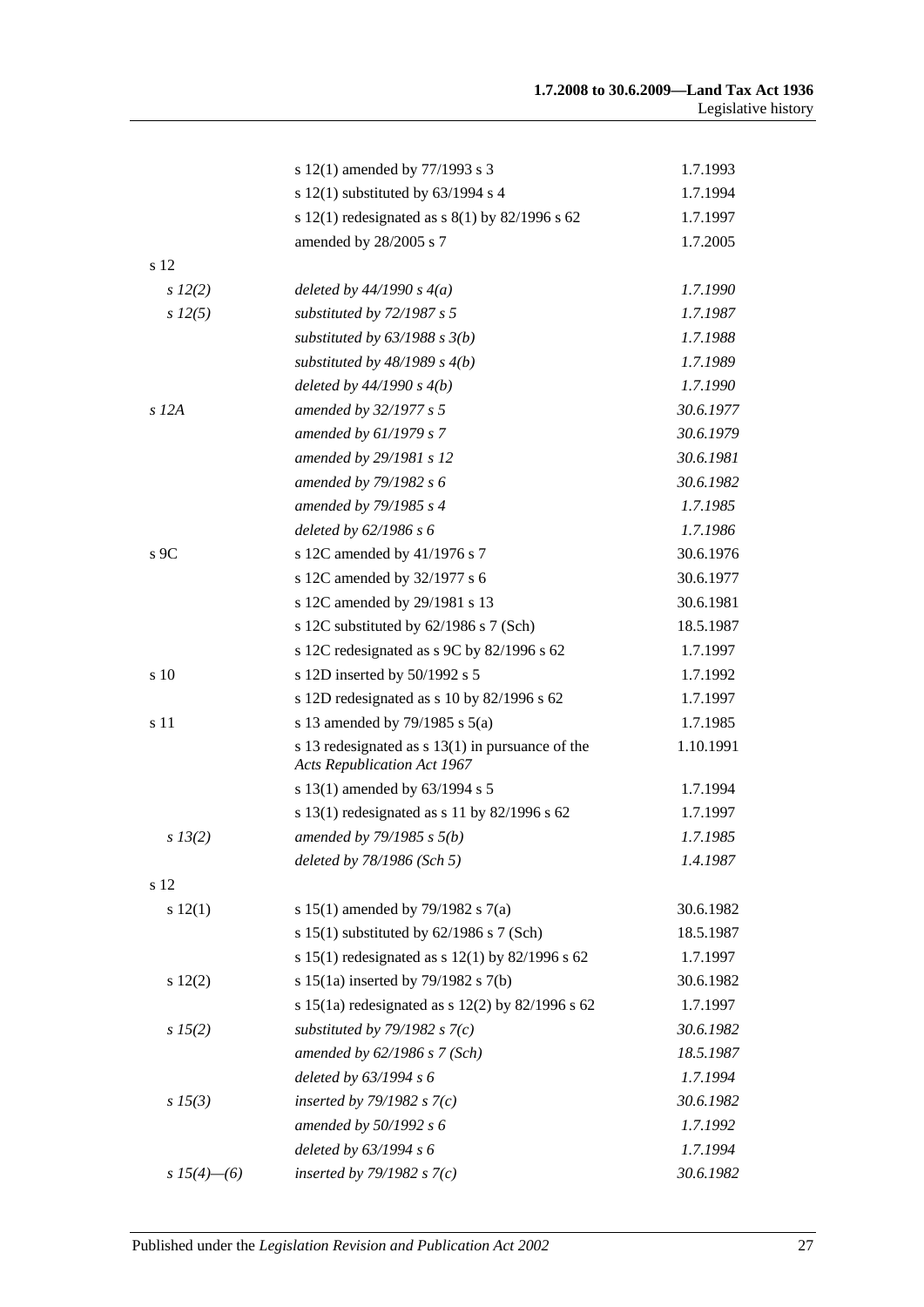|                  | s 12(1) amended by 77/1993 s 3                                                         | 1.7.1993  |
|------------------|----------------------------------------------------------------------------------------|-----------|
|                  | s 12(1) substituted by $63/1994$ s 4                                                   | 1.7.1994  |
|                  | s 12(1) redesignated as $s(1)$ by 82/1996 s 62                                         | 1.7.1997  |
|                  | amended by 28/2005 s 7                                                                 | 1.7.2005  |
| s 12             |                                                                                        |           |
| $s\ 12(2)$       | deleted by $44/1990 s 4(a)$                                                            | 1.7.1990  |
| $s\,12(5)$       | substituted by 72/1987 s 5                                                             | 1.7.1987  |
|                  | substituted by $63/1988$ s $3(b)$                                                      | 1.7.1988  |
|                  | substituted by $48/1989$ s $4(b)$                                                      | 1.7.1989  |
|                  | deleted by $44/1990 s 4(b)$                                                            | 1.7.1990  |
| $s$ 12A          | amended by 32/1977 s 5                                                                 | 30.6.1977 |
|                  | amended by $61/1979 s$ 7                                                               | 30.6.1979 |
|                  | amended by 29/1981 s 12                                                                | 30.6.1981 |
|                  | amended by 79/1982 s 6                                                                 | 30.6.1982 |
|                  | amended by 79/1985 s 4                                                                 | 1.7.1985  |
|                  | deleted by $62/1986 s 6$                                                               | 1.7.1986  |
| $s$ 9C           | s 12C amended by 41/1976 s 7                                                           | 30.6.1976 |
|                  | s 12C amended by 32/1977 s 6                                                           | 30.6.1977 |
|                  | s 12C amended by 29/1981 s 13                                                          | 30.6.1981 |
|                  | s 12C substituted by 62/1986 s 7 (Sch)                                                 | 18.5.1987 |
|                  | s 12C redesignated as s 9C by 82/1996 s 62                                             | 1.7.1997  |
| s 10             | s 12D inserted by 50/1992 s 5                                                          | 1.7.1992  |
|                  | s 12D redesignated as s 10 by 82/1996 s 62                                             | 1.7.1997  |
| s 11             | s 13 amended by 79/1985 s $5(a)$                                                       | 1.7.1985  |
|                  | s 13 redesignated as s 13(1) in pursuance of the<br><b>Acts Republication Act 1967</b> | 1.10.1991 |
|                  | s 13(1) amended by 63/1994 s 5                                                         | 1.7.1994  |
|                  | s 13(1) redesignated as s 11 by $82/1996$ s 62                                         | 1.7.1997  |
| $s\,13(2)$       | amended by $79/1985 s 5(b)$                                                            | 1.7.1985  |
|                  | deleted by 78/1986 (Sch 5)                                                             | 1.4.1987  |
| s 12             |                                                                                        |           |
| s 12(1)          | s 15(1) amended by 79/1982 s 7(a)                                                      | 30.6.1982 |
|                  | s 15(1) substituted by $62/1986$ s 7 (Sch)                                             | 18.5.1987 |
|                  | s 15(1) redesignated as s 12(1) by 82/1996 s 62                                        | 1.7.1997  |
| s 12(2)          | s 15(1a) inserted by 79/1982 s 7(b)                                                    | 30.6.1982 |
|                  | s 15(1a) redesignated as s 12(2) by 82/1996 s 62                                       | 1.7.1997  |
| $s\,15(2)$       | substituted by 79/1982 s $7(c)$                                                        | 30.6.1982 |
|                  | amended by $62/1986$ s $7$ (Sch)                                                       | 18.5.1987 |
|                  | deleted by $63/1994 s 6$                                                               | 1.7.1994  |
| $s\,15(3)$       | inserted by $79/1982$ s $7(c)$                                                         | 30.6.1982 |
|                  | amended by 50/1992 s 6                                                                 | 1.7.1992  |
|                  | deleted by 63/1994 s 6                                                                 | 1.7.1994  |
| $s\,15(4)$ - (6) | inserted by 79/1982 s $7(c)$                                                           | 30.6.1982 |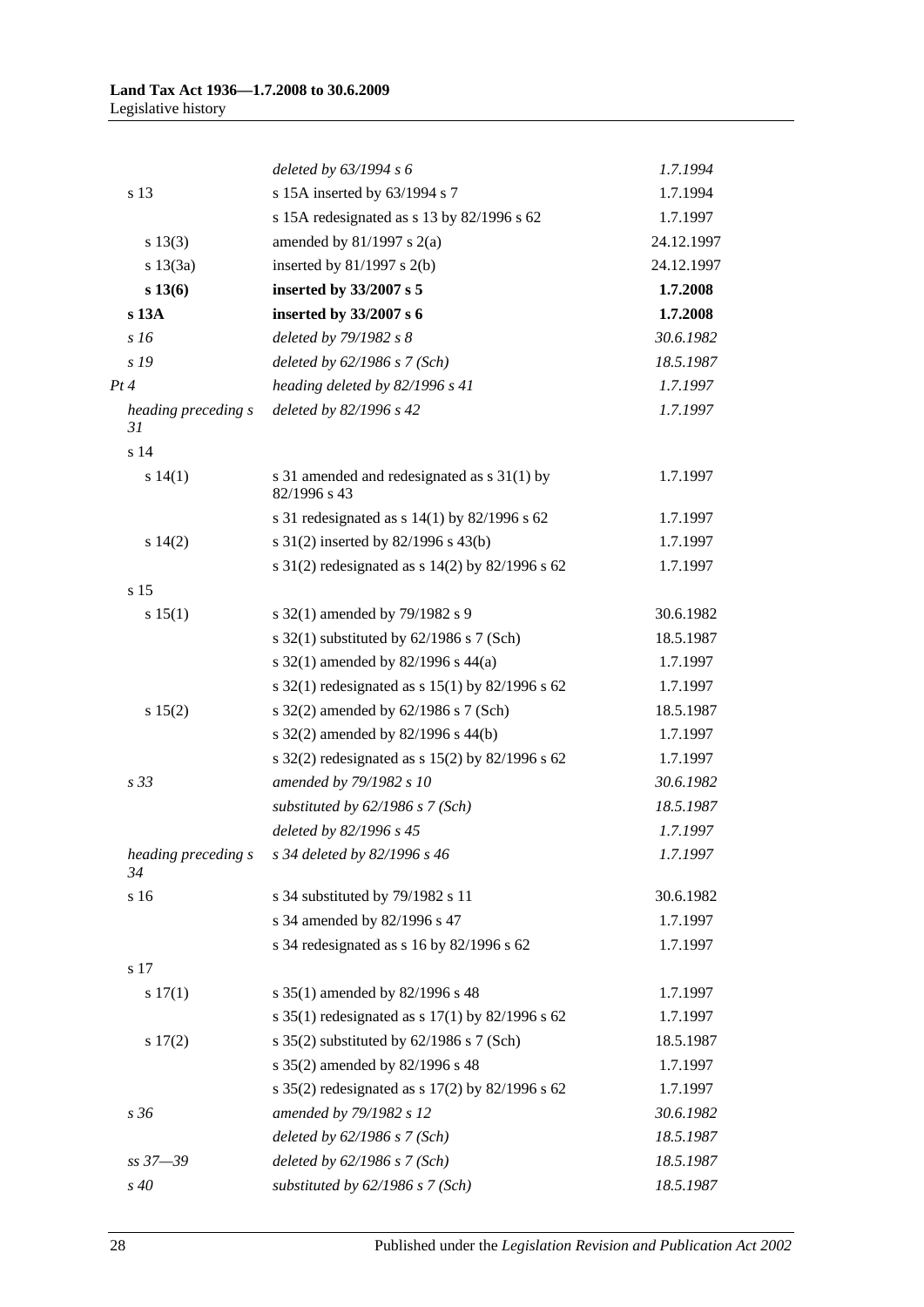|                           | deleted by $63/1994 s 6$                                    | 1.7.1994   |
|---------------------------|-------------------------------------------------------------|------------|
| s 13                      | s 15A inserted by 63/1994 s 7                               | 1.7.1994   |
|                           | s 15A redesignated as s 13 by 82/1996 s 62                  | 1.7.1997   |
| s 13(3)                   | amended by $81/1997$ s $2(a)$                               | 24.12.1997 |
| s 13(3a)                  | inserted by $81/1997$ s $2(b)$                              | 24.12.1997 |
| s 13(6)                   | inserted by 33/2007 s 5                                     | 1.7.2008   |
| s 13A                     | inserted by 33/2007 s 6                                     | 1.7.2008   |
| s16                       | deleted by 79/1982 s 8                                      | 30.6.1982  |
| s <sub>19</sub>           | deleted by 62/1986 s 7 (Sch)                                | 18.5.1987  |
| Pt4                       | heading deleted by 82/1996 s 41                             | 1.7.1997   |
| heading preceding s<br>31 | deleted by 82/1996 s 42                                     | 1.7.1997   |
| s 14                      |                                                             |            |
| s 14(1)                   | s 31 amended and redesignated as s 31(1) by<br>82/1996 s 43 | 1.7.1997   |
|                           | s 31 redesignated as $s$ 14(1) by 82/1996 s 62              | 1.7.1997   |
| s 14(2)                   | s 31(2) inserted by 82/1996 s 43(b)                         | 1.7.1997   |
|                           | s $31(2)$ redesignated as s $14(2)$ by $82/1996$ s 62       | 1.7.1997   |
| s 15                      |                                                             |            |
| s 15(1)                   | s 32(1) amended by 79/1982 s 9                              | 30.6.1982  |
|                           | s $32(1)$ substituted by $62/1986$ s 7 (Sch)                | 18.5.1987  |
|                           | s 32(1) amended by 82/1996 s 44(a)                          | 1.7.1997   |
|                           | s 32(1) redesignated as s 15(1) by 82/1996 s 62             | 1.7.1997   |
| s 15(2)                   | s 32(2) amended by 62/1986 s 7 (Sch)                        | 18.5.1987  |
|                           | s 32(2) amended by 82/1996 s 44(b)                          | 1.7.1997   |
|                           | s 32(2) redesignated as s 15(2) by 82/1996 s 62             | 1.7.1997   |
| s <sub>33</sub>           | amended by 79/1982 s 10                                     | 30.6.1982  |
|                           | substituted by 62/1986 s 7 (Sch)                            | 18.5.1987  |
|                           | deleted by 82/1996 s 45                                     | 1.7.1997   |
| 34                        | heading preceding s s 34 deleted by 82/1996 s 46            | 1.7.1997   |
| s 16                      | s 34 substituted by 79/1982 s 11                            | 30.6.1982  |
|                           | s 34 amended by 82/1996 s 47                                | 1.7.1997   |
|                           | s 34 redesignated as s 16 by 82/1996 s 62                   | 1.7.1997   |
| s 17                      |                                                             |            |
| s 17(1)                   | s 35(1) amended by 82/1996 s 48                             | 1.7.1997   |
|                           | s 35(1) redesignated as s $17(1)$ by 82/1996 s 62           | 1.7.1997   |
| 17(2)                     | s 35(2) substituted by 62/1986 s 7 (Sch)                    | 18.5.1987  |
|                           | s 35(2) amended by 82/1996 s 48                             | 1.7.1997   |
|                           | s 35(2) redesignated as s 17(2) by 82/1996 s 62             | 1.7.1997   |
| s 36                      | amended by 79/1982 s 12                                     | 30.6.1982  |
|                           | deleted by 62/1986 s 7 (Sch)                                | 18.5.1987  |
| ss 37–39                  | deleted by $62/1986$ s $7 (Sch)$                            | 18.5.1987  |
| s 40                      | substituted by $62/1986$ s $7 (Sch)$                        | 18.5.1987  |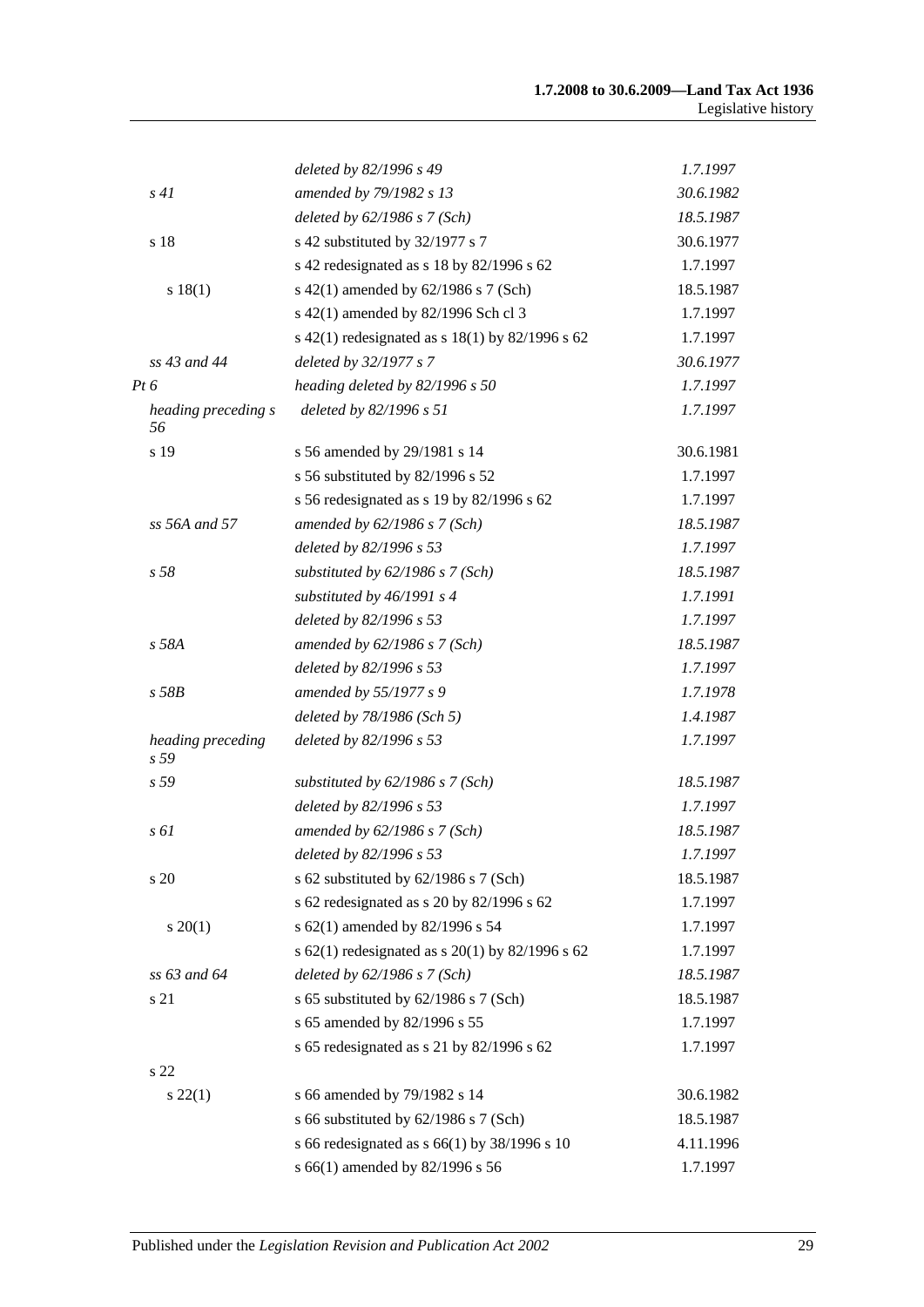|                           | deleted by 82/1996 s 49                         | 1.7.1997  |
|---------------------------|-------------------------------------------------|-----------|
| s41                       | amended by 79/1982 s 13                         | 30.6.1982 |
|                           | deleted by 62/1986 s 7 (Sch)                    | 18.5.1987 |
| s 18                      | s 42 substituted by 32/1977 s 7                 | 30.6.1977 |
|                           | s 42 redesignated as s 18 by 82/1996 s 62       | 1.7.1997  |
| s 18(1)                   | s 42(1) amended by 62/1986 s 7 (Sch)            | 18.5.1987 |
|                           | s 42(1) amended by 82/1996 Sch cl 3             | 1.7.1997  |
|                           | s 42(1) redesignated as s 18(1) by 82/1996 s 62 | 1.7.1997  |
| ss 43 and 44              | deleted by 32/1977 s 7                          | 30.6.1977 |
| $Pt\,6$                   | heading deleted by 82/1996 s 50                 | 1.7.1997  |
| heading preceding s<br>56 | deleted by 82/1996 s 51                         | 1.7.1997  |
| s 19                      | s 56 amended by 29/1981 s 14                    | 30.6.1981 |
|                           | s 56 substituted by 82/1996 s 52                | 1.7.1997  |
|                           | s 56 redesignated as s 19 by 82/1996 s 62       | 1.7.1997  |
| ss 56A and 57             | amended by $62/1986$ s $7$ (Sch)                | 18.5.1987 |
|                           | deleted by 82/1996 s 53                         | 1.7.1997  |
| s <sub>58</sub>           | substituted by $62/1986$ s $7$ (Sch)            | 18.5.1987 |
|                           | substituted by 46/1991 s 4                      | 1.7.1991  |
|                           | deleted by 82/1996 s 53                         | 1.7.1997  |
| s 58A                     | amended by $62/1986$ s $7$ (Sch)                | 18.5.1987 |
|                           | deleted by 82/1996 s 53                         | 1.7.1997  |
| $s$ 58 $B$                | amended by 55/1977 s 9                          | 1.7.1978  |
|                           | deleted by 78/1986 (Sch 5)                      | 1.4.1987  |
| heading preceding<br>s 59 | deleted by 82/1996 s 53                         | 1.7.1997  |
| s 59                      | substituted by $62/1986$ s $7$ (Sch)            | 18.5.1987 |
|                           | deleted by 82/1996 s 53                         | 1.7.1997  |
| s 61                      | amended by $62/1986$ s $7$ (Sch)                | 18.5.1987 |
|                           | deleted by 82/1996 s 53                         | 1.7.1997  |
| s 20                      | s 62 substituted by $62/1986$ s 7 (Sch)         | 18.5.1987 |
|                           | s 62 redesignated as s 20 by 82/1996 s 62       | 1.7.1997  |
| $s \ 20(1)$               | s 62(1) amended by 82/1996 s 54                 | 1.7.1997  |
|                           | s 62(1) redesignated as s 20(1) by 82/1996 s 62 | 1.7.1997  |
| ss 63 and 64              | deleted by 62/1986 s 7 (Sch)                    | 18.5.1987 |
| s 21                      | s 65 substituted by 62/1986 s 7 (Sch)           | 18.5.1987 |
|                           | s 65 amended by 82/1996 s 55                    | 1.7.1997  |
|                           | s 65 redesignated as s 21 by 82/1996 s 62       | 1.7.1997  |
| s <sub>22</sub>           |                                                 |           |
| $s\,22(1)$                | s 66 amended by 79/1982 s 14                    | 30.6.1982 |
|                           | s 66 substituted by 62/1986 s 7 (Sch)           | 18.5.1987 |
|                           | s 66 redesignated as s 66(1) by $38/1996$ s 10  | 4.11.1996 |
|                           | s 66(1) amended by 82/1996 s 56                 | 1.7.1997  |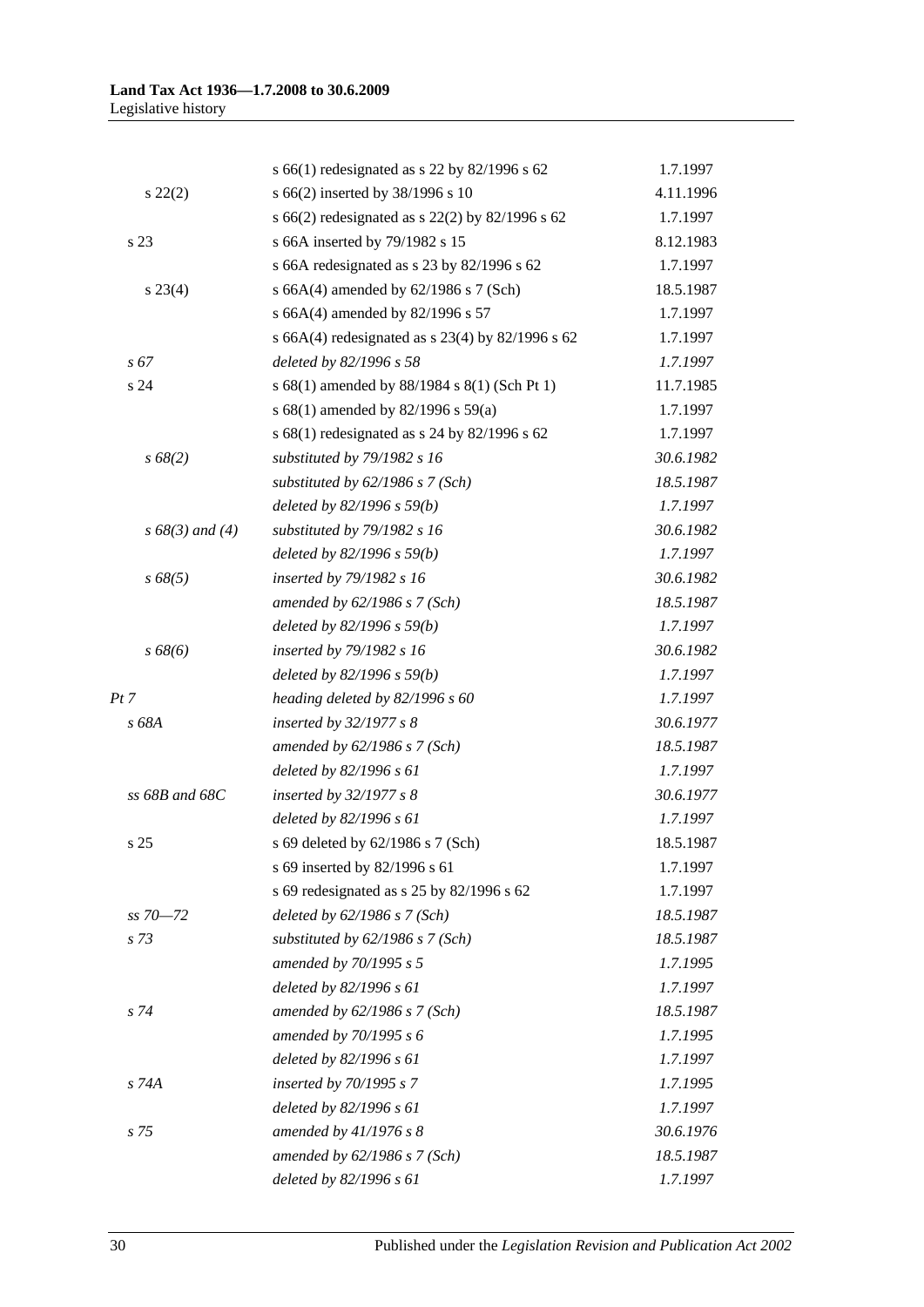|                    | s 66(1) redesignated as s 22 by 82/1996 s 62         | 1.7.1997  |
|--------------------|------------------------------------------------------|-----------|
| $s\ 22(2)$         | s 66(2) inserted by 38/1996 s 10                     | 4.11.1996 |
|                    | s 66(2) redesignated as s 22(2) by 82/1996 s 62      | 1.7.1997  |
| s 23               | s 66A inserted by 79/1982 s 15                       | 8.12.1983 |
|                    | s 66A redesignated as s 23 by 82/1996 s 62           | 1.7.1997  |
| $s\,23(4)$         | s 66A $(4)$ amended by 62/1986 s 7 (Sch)             | 18.5.1987 |
|                    | s 66A(4) amended by 82/1996 s 57                     | 1.7.1997  |
|                    | s 66A(4) redesignated as s $23(4)$ by $82/1996$ s 62 | 1.7.1997  |
| $s\,67$            | deleted by 82/1996 s 58                              | 1.7.1997  |
| s 24               | s 68(1) amended by 88/1984 s 8(1) (Sch Pt 1)         | 11.7.1985 |
|                    | s 68(1) amended by 82/1996 s 59(a)                   | 1.7.1997  |
|                    | s 68(1) redesignated as s 24 by 82/1996 s 62         | 1.7.1997  |
| $s\,68(2)$         | substituted by 79/1982 s 16                          | 30.6.1982 |
|                    | substituted by $62/1986$ s $7$ (Sch)                 | 18.5.1987 |
|                    | deleted by $82/1996 s 59(b)$                         | 1.7.1997  |
| $s\,68(3)$ and (4) | substituted by 79/1982 s 16                          | 30.6.1982 |
|                    | deleted by $82/1996 s 59(b)$                         | 1.7.1997  |
| $s\,68(5)$         | inserted by 79/1982 s 16                             | 30.6.1982 |
|                    | amended by $62/1986$ s $7$ (Sch)                     | 18.5.1987 |
|                    | deleted by $82/1996 s 59(b)$                         | 1.7.1997  |
| s 68(6)            | inserted by 79/1982 s 16                             | 30.6.1982 |
|                    | deleted by $82/1996 s 59(b)$                         | 1.7.1997  |
| Pt 7               | heading deleted by 82/1996 s 60                      | 1.7.1997  |
| s 68A              | inserted by 32/1977 s 8                              | 30.6.1977 |
|                    | amended by $62/1986$ s $7$ (Sch)                     | 18.5.1987 |
|                    | deleted by 82/1996 s 61                              | 1.7.1997  |
| ss 68B and 68C     | inserted by 32/1977 s 8                              | 30.6.1977 |
|                    | deleted by 82/1996 s 61                              | 1.7.1997  |
| s 25               | s 69 deleted by 62/1986 s 7 (Sch)                    | 18.5.1987 |
|                    | s 69 inserted by 82/1996 s 61                        | 1.7.1997  |
|                    | s 69 redesignated as s 25 by 82/1996 s 62            | 1.7.1997  |
| ss 70-72           | deleted by $62/1986$ s $7$ (Sch)                     | 18.5.1987 |
| s 73               | substituted by $62/1986$ s $7$ (Sch)                 | 18.5.1987 |
|                    | amended by 70/1995 s 5                               | 1.7.1995  |
|                    | deleted by 82/1996 s 61                              | 1.7.1997  |
| $s\,74$            | amended by $62/1986$ s $7$ (Sch)                     | 18.5.1987 |
|                    | amended by 70/1995 s 6                               | 1.7.1995  |
|                    | deleted by 82/1996 s 61                              | 1.7.1997  |
| s 74A              | inserted by $70/1995 s 7$                            | 1.7.1995  |
|                    | deleted by 82/1996 s 61                              | 1.7.1997  |
| s 75               | amended by 41/1976 s 8                               | 30.6.1976 |
|                    | amended by $62/1986$ s $7$ (Sch)                     | 18.5.1987 |
|                    | deleted by 82/1996 s 61                              | 1.7.1997  |